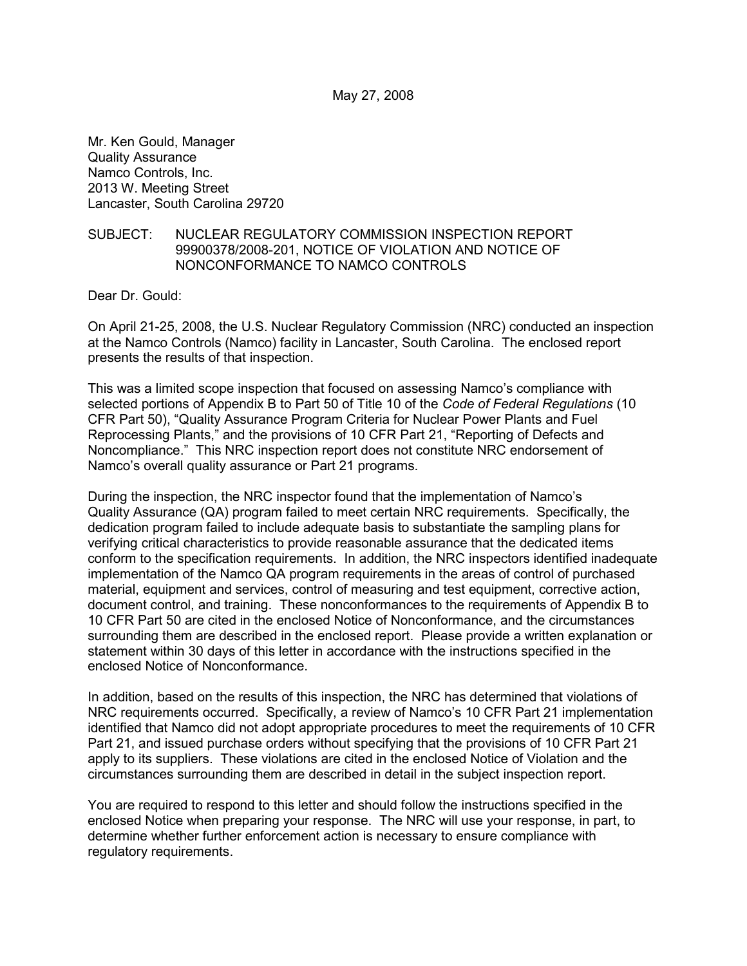May 27, 2008

Mr. Ken Gould, Manager Quality Assurance Namco Controls, Inc. 2013 W. Meeting Street Lancaster, South Carolina 29720

#### SUBJECT: NUCLEAR REGULATORY COMMISSION INSPECTION REPORT 99900378/2008-201, NOTICE OF VIOLATION AND NOTICE OF NONCONFORMANCE TO NAMCO CONTROLS

Dear Dr. Gould:

On April 21-25, 2008, the U.S. Nuclear Regulatory Commission (NRC) conducted an inspection at the Namco Controls (Namco) facility in Lancaster, South Carolina. The enclosed report presents the results of that inspection.

This was a limited scope inspection that focused on assessing Namco's compliance with selected portions of Appendix B to Part 50 of Title 10 of the *Code of Federal Regulations* (10 CFR Part 50), "Quality Assurance Program Criteria for Nuclear Power Plants and Fuel Reprocessing Plants," and the provisions of 10 CFR Part 21, "Reporting of Defects and Noncompliance." This NRC inspection report does not constitute NRC endorsement of Namco's overall quality assurance or Part 21 programs.

During the inspection, the NRC inspector found that the implementation of Namco's Quality Assurance (QA) program failed to meet certain NRC requirements. Specifically, the dedication program failed to include adequate basis to substantiate the sampling plans for verifying critical characteristics to provide reasonable assurance that the dedicated items conform to the specification requirements. In addition, the NRC inspectors identified inadequate implementation of the Namco QA program requirements in the areas of control of purchased material, equipment and services, control of measuring and test equipment, corrective action, document control, and training. These nonconformances to the requirements of Appendix B to 10 CFR Part 50 are cited in the enclosed Notice of Nonconformance, and the circumstances surrounding them are described in the enclosed report. Please provide a written explanation or statement within 30 days of this letter in accordance with the instructions specified in the enclosed Notice of Nonconformance.

In addition, based on the results of this inspection, the NRC has determined that violations of NRC requirements occurred. Specifically, a review of Namco's 10 CFR Part 21 implementation identified that Namco did not adopt appropriate procedures to meet the requirements of 10 CFR Part 21, and issued purchase orders without specifying that the provisions of 10 CFR Part 21 apply to its suppliers. These violations are cited in the enclosed Notice of Violation and the circumstances surrounding them are described in detail in the subject inspection report.

You are required to respond to this letter and should follow the instructions specified in the enclosed Notice when preparing your response. The NRC will use your response, in part, to determine whether further enforcement action is necessary to ensure compliance with regulatory requirements.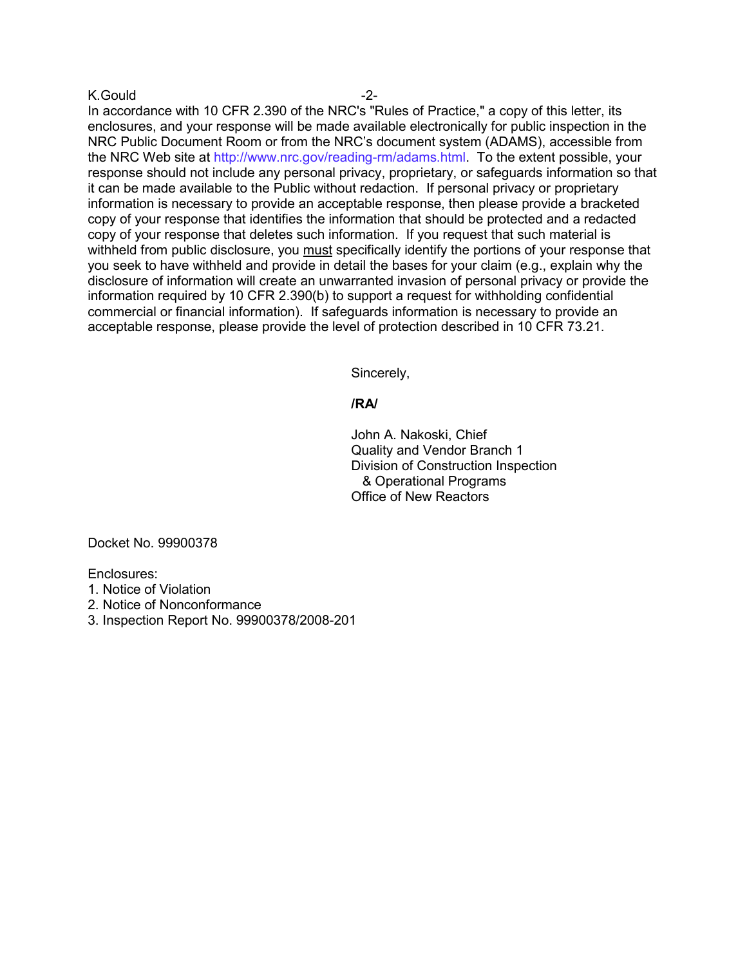#### K.Gould -2-

In accordance with 10 CFR 2.390 of the NRC's "Rules of Practice," a copy of this letter, its enclosures, and your response will be made available electronically for public inspection in the NRC Public Document Room or from the NRC's document system (ADAMS), accessible from the NRC Web site at http://www.nrc.gov/reading-rm/adams.html. To the extent possible, your response should not include any personal privacy, proprietary, or safeguards information so that it can be made available to the Public without redaction. If personal privacy or proprietary information is necessary to provide an acceptable response, then please provide a bracketed copy of your response that identifies the information that should be protected and a redacted copy of your response that deletes such information. If you request that such material is withheld from public disclosure, you must specifically identify the portions of your response that you seek to have withheld and provide in detail the bases for your claim (e.g., explain why the disclosure of information will create an unwarranted invasion of personal privacy or provide the information required by 10 CFR 2.390(b) to support a request for withholding confidential commercial or financial information). If safeguards information is necessary to provide an acceptable response, please provide the level of protection described in 10 CFR 73.21.

Sincerely,

#### **/RA/**

John A. Nakoski, Chief Quality and Vendor Branch 1 Division of Construction Inspection & Operational Programs Office of New Reactors

Docket No. 99900378

Enclosures:

- 1. Notice of Violation
- 2. Notice of Nonconformance
- 3. Inspection Report No. 99900378/2008-201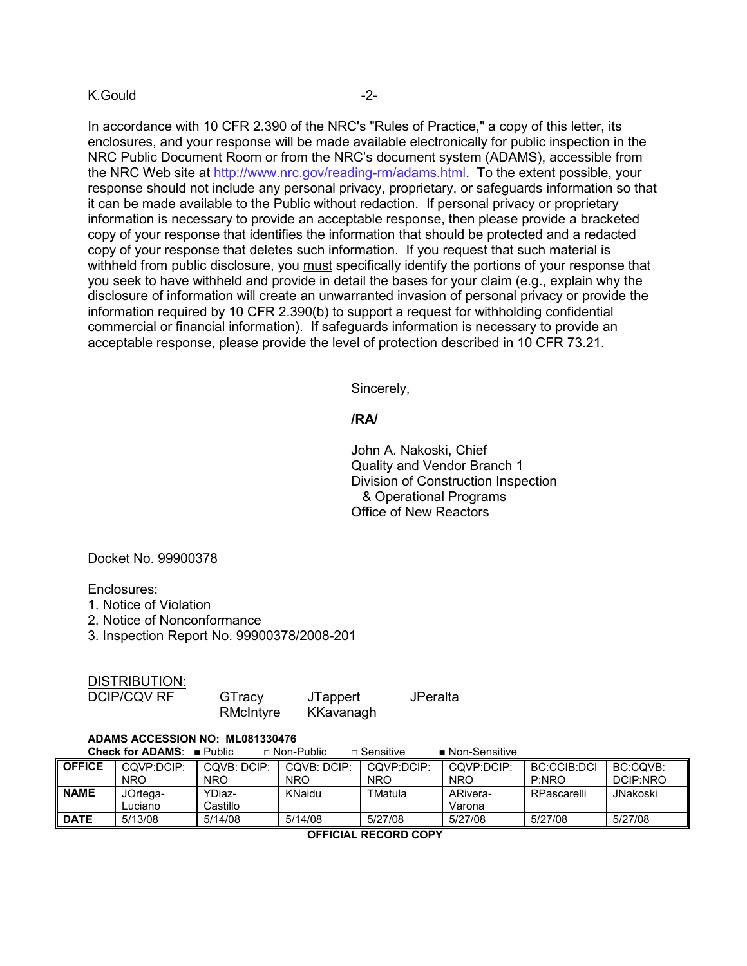#### K.Gould -2-

In accordance with 10 CFR 2.390 of the NRC's "Rules of Practice," a copy of this letter, its enclosures, and your response will be made available electronically for public inspection in the NRC Public Document Room or from the NRC's document system (ADAMS), accessible from the NRC Web site at http://www.nrc.gov/reading-rm/adams.html. To the extent possible, your response should not include any personal privacy, proprietary, or safeguards information so that it can be made available to the Public without redaction. If personal privacy or proprietary information is necessary to provide an acceptable response, then please provide a bracketed copy of your response that identifies the information that should be protected and a redacted copy of your response that deletes such information. If you request that such material is withheld from public disclosure, you must specifically identify the portions of your response that you seek to have withheld and provide in detail the bases for your claim (e.g., explain why the disclosure of information will create an unwarranted invasion of personal privacy or provide the information required by 10 CFR 2.390(b) to support a request for withholding confidential commercial or financial information). If safeguards information is necessary to provide an acceptable response, please provide the level of protection described in 10 CFR 73.21.

Sincerely,

#### **/RA/**

John A. Nakoski, Chief Quality and Vendor Branch 1 Division of Construction Inspection & Operational Programs Office of New Reactors

Docket No. 99900378

Enclosures:

- 1. Notice of Violation
- 2. Notice of Nonconformance
- 3. Inspection Report No. 99900378/2008-201

| DISTRIBUTION: |
|---------------|
|---------------|

| <b>DCIP/CQV RF</b> | GTracy    | <b>JTappert</b> | JPeralta |
|--------------------|-----------|-----------------|----------|
|                    | RMcIntyre | KKavanagh       |          |

#### **ADAMS ACCESSION NO: ML081330476 Check for ADAMS**: ■ Public □ Non-Public □ Sensitive ■ Non-Sensitive

|               | VIICUN IVI AVAIIIV. II QUIIU |             | ii Nuit uullu | ⊔ ∪спэккс  | ■ סטווסטרווסטיו |             |          |
|---------------|------------------------------|-------------|---------------|------------|-----------------|-------------|----------|
| <b>OFFICE</b> | COVP:DCIP:                   | COVB: DCIP: | COVB: DCIP:   | COVP:DCIP: | COVP:DCIP:      | BC:CCIB:DCI | BC:CQVB: |
|               | <b>NRO</b>                   | <b>NRO</b>  | <b>NRO</b>    | <b>NRO</b> | <b>NRO</b>      | P:NRO       | DCIP:NRO |
| <b>NAME</b>   | JOrtega-                     | YDiaz-      | KNaidu        | TMatula    | ARivera-        | RPascarelli | JNakoski |
|               | Luciano                      | Castillo    |               |            | Varona          |             |          |
| <b>DATE</b>   | 5/13/08                      | 5/14/08     | 5/14/08       | 5/27/08    | 5/27/08         | 5/27/08     | 5/27/08  |

 **OFFICIAL RECORD COPY**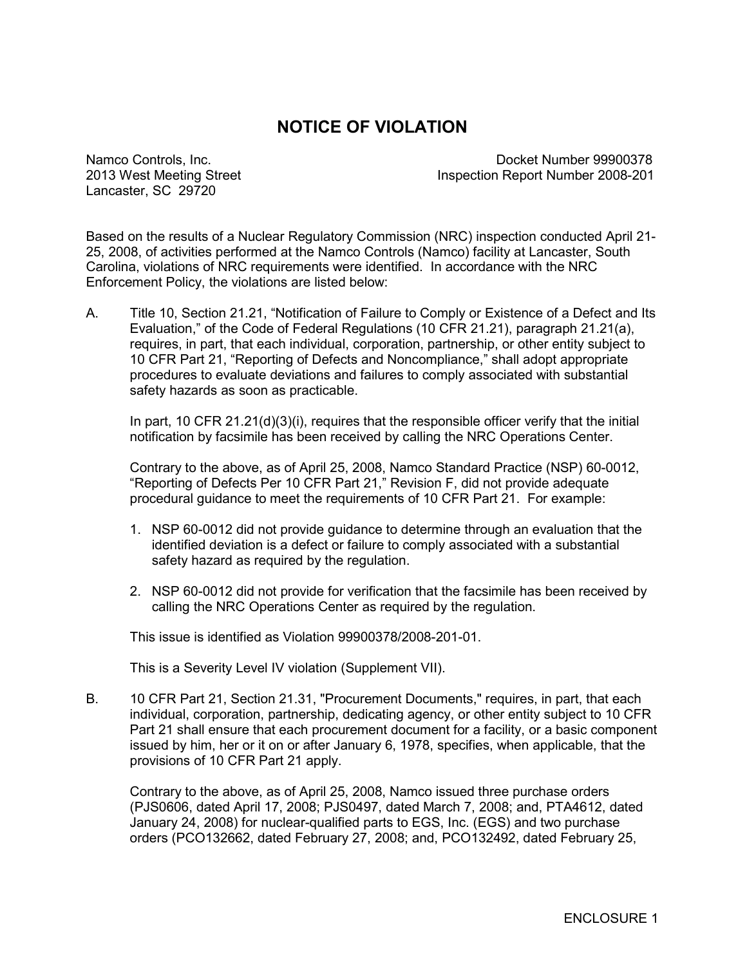# **NOTICE OF VIOLATION**

Lancaster, SC 29720

Namco Controls, Inc. Docket Number 99900378 2013 West Meeting Street Inspection Report Number 2008-201

Based on the results of a Nuclear Regulatory Commission (NRC) inspection conducted April 21- 25, 2008, of activities performed at the Namco Controls (Namco) facility at Lancaster, South Carolina, violations of NRC requirements were identified. In accordance with the NRC Enforcement Policy, the violations are listed below:

A. Title 10, Section 21.21, "Notification of Failure to Comply or Existence of a Defect and Its Evaluation," of the Code of Federal Regulations (10 CFR 21.21), paragraph 21.21(a), requires, in part, that each individual, corporation, partnership, or other entity subject to 10 CFR Part 21, "Reporting of Defects and Noncompliance," shall adopt appropriate procedures to evaluate deviations and failures to comply associated with substantial safety hazards as soon as practicable.

In part, 10 CFR 21.21(d)(3)(i), requires that the responsible officer verify that the initial notification by facsimile has been received by calling the NRC Operations Center.

Contrary to the above, as of April 25, 2008, Namco Standard Practice (NSP) 60-0012, "Reporting of Defects Per 10 CFR Part 21," Revision F, did not provide adequate procedural guidance to meet the requirements of 10 CFR Part 21. For example:

- 1. NSP 60-0012 did not provide guidance to determine through an evaluation that the identified deviation is a defect or failure to comply associated with a substantial safety hazard as required by the regulation.
- 2. NSP 60-0012 did not provide for verification that the facsimile has been received by calling the NRC Operations Center as required by the regulation.

This issue is identified as Violation 99900378/2008-201-01.

This is a Severity Level IV violation (Supplement VII).

B. 10 CFR Part 21, Section 21.31, "Procurement Documents," requires, in part, that each individual, corporation, partnership, dedicating agency, or other entity subject to 10 CFR Part 21 shall ensure that each procurement document for a facility, or a basic component issued by him, her or it on or after January 6, 1978, specifies, when applicable, that the provisions of 10 CFR Part 21 apply.

Contrary to the above, as of April 25, 2008, Namco issued three purchase orders (PJS0606, dated April 17, 2008; PJS0497, dated March 7, 2008; and, PTA4612, dated January 24, 2008) for nuclear-qualified parts to EGS, Inc. (EGS) and two purchase orders (PCO132662, dated February 27, 2008; and, PCO132492, dated February 25,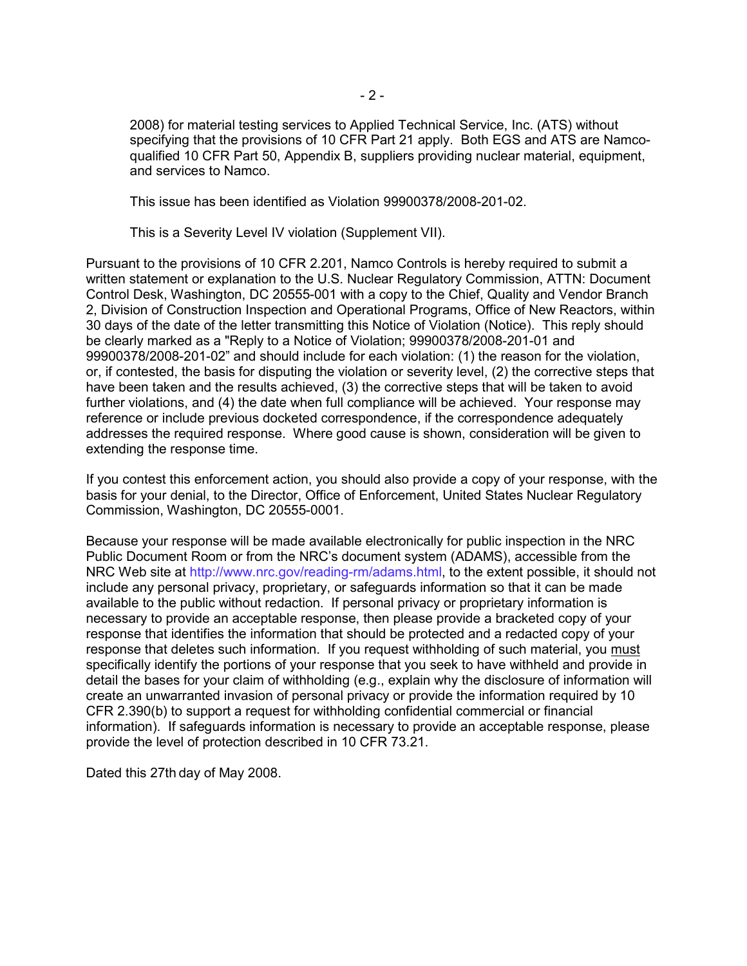2008) for material testing services to Applied Technical Service, Inc. (ATS) without specifying that the provisions of 10 CFR Part 21 apply. Both EGS and ATS are Namcoqualified 10 CFR Part 50, Appendix B, suppliers providing nuclear material, equipment, and services to Namco.

This issue has been identified as Violation 99900378/2008-201-02.

This is a Severity Level IV violation (Supplement VII).

Pursuant to the provisions of 10 CFR 2.201, Namco Controls is hereby required to submit a written statement or explanation to the U.S. Nuclear Regulatory Commission, ATTN: Document Control Desk, Washington, DC 20555-001 with a copy to the Chief, Quality and Vendor Branch 2, Division of Construction Inspection and Operational Programs, Office of New Reactors, within 30 days of the date of the letter transmitting this Notice of Violation (Notice). This reply should be clearly marked as a "Reply to a Notice of Violation; 99900378/2008-201-01 and 99900378/2008-201-02" and should include for each violation: (1) the reason for the violation, or, if contested, the basis for disputing the violation or severity level, (2) the corrective steps that have been taken and the results achieved, (3) the corrective steps that will be taken to avoid further violations, and (4) the date when full compliance will be achieved. Your response may reference or include previous docketed correspondence, if the correspondence adequately addresses the required response. Where good cause is shown, consideration will be given to extending the response time.

If you contest this enforcement action, you should also provide a copy of your response, with the basis for your denial, to the Director, Office of Enforcement, United States Nuclear Regulatory Commission, Washington, DC 20555-0001.

Because your response will be made available electronically for public inspection in the NRC Public Document Room or from the NRC's document system (ADAMS), accessible from the NRC Web site at http://www.nrc.gov/reading-rm/adams.html, to the extent possible, it should not include any personal privacy, proprietary, or safeguards information so that it can be made available to the public without redaction. If personal privacy or proprietary information is necessary to provide an acceptable response, then please provide a bracketed copy of your response that identifies the information that should be protected and a redacted copy of your response that deletes such information. If you request withholding of such material, you must specifically identify the portions of your response that you seek to have withheld and provide in detail the bases for your claim of withholding (e.g., explain why the disclosure of information will create an unwarranted invasion of personal privacy or provide the information required by 10 CFR 2.390(b) to support a request for withholding confidential commercial or financial information). If safeguards information is necessary to provide an acceptable response, please provide the level of protection described in 10 CFR 73.21.

Dated this 27th day of May 2008.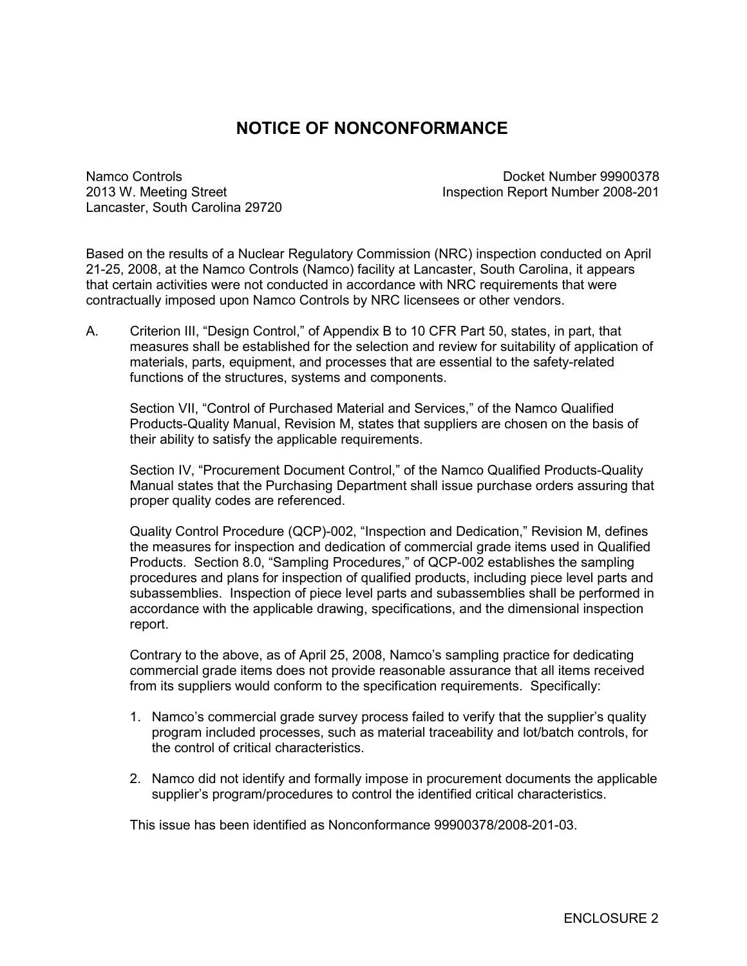# **NOTICE OF NONCONFORMANCE**

Lancaster, South Carolina 29720

Namco Controls Docket Number 99900378 2013 W. Meeting Street Inspection Report Number 2008-201

Based on the results of a Nuclear Regulatory Commission (NRC) inspection conducted on April 21-25, 2008, at the Namco Controls (Namco) facility at Lancaster, South Carolina, it appears that certain activities were not conducted in accordance with NRC requirements that were contractually imposed upon Namco Controls by NRC licensees or other vendors.

A. Criterion III, "Design Control," of Appendix B to 10 CFR Part 50, states, in part, that measures shall be established for the selection and review for suitability of application of materials, parts, equipment, and processes that are essential to the safety-related functions of the structures, systems and components.

Section VII, "Control of Purchased Material and Services," of the Namco Qualified Products-Quality Manual, Revision M, states that suppliers are chosen on the basis of their ability to satisfy the applicable requirements.

Section IV, "Procurement Document Control," of the Namco Qualified Products-Quality Manual states that the Purchasing Department shall issue purchase orders assuring that proper quality codes are referenced.

Quality Control Procedure (QCP)-002, "Inspection and Dedication," Revision M, defines the measures for inspection and dedication of commercial grade items used in Qualified Products. Section 8.0, "Sampling Procedures," of QCP-002 establishes the sampling procedures and plans for inspection of qualified products, including piece level parts and subassemblies. Inspection of piece level parts and subassemblies shall be performed in accordance with the applicable drawing, specifications, and the dimensional inspection report.

Contrary to the above, as of April 25, 2008, Namco's sampling practice for dedicating commercial grade items does not provide reasonable assurance that all items received from its suppliers would conform to the specification requirements. Specifically:

- 1. Namco's commercial grade survey process failed to verify that the supplier's quality program included processes, such as material traceability and lot/batch controls, for the control of critical characteristics.
- 2. Namco did not identify and formally impose in procurement documents the applicable supplier's program/procedures to control the identified critical characteristics.

This issue has been identified as Nonconformance 99900378/2008-201-03.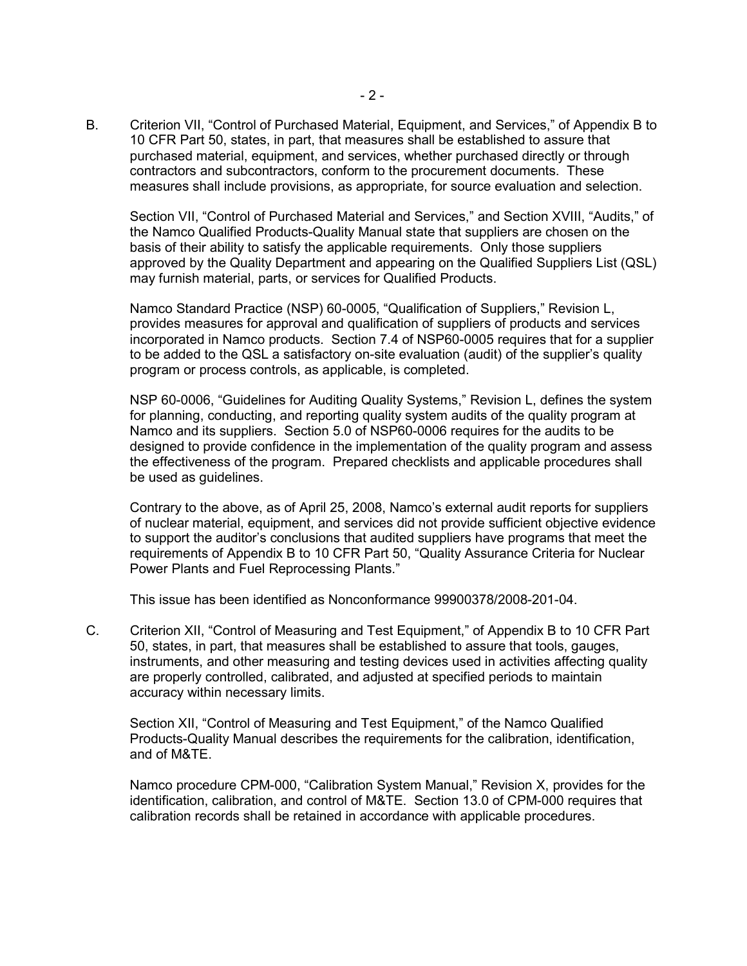B. Criterion VII, "Control of Purchased Material, Equipment, and Services," of Appendix B to 10 CFR Part 50, states, in part, that measures shall be established to assure that purchased material, equipment, and services, whether purchased directly or through contractors and subcontractors, conform to the procurement documents. These measures shall include provisions, as appropriate, for source evaluation and selection.

Section VII, "Control of Purchased Material and Services," and Section XVIII, "Audits," of the Namco Qualified Products-Quality Manual state that suppliers are chosen on the basis of their ability to satisfy the applicable requirements. Only those suppliers approved by the Quality Department and appearing on the Qualified Suppliers List (QSL) may furnish material, parts, or services for Qualified Products.

Namco Standard Practice (NSP) 60-0005, "Qualification of Suppliers," Revision L, provides measures for approval and qualification of suppliers of products and services incorporated in Namco products. Section 7.4 of NSP60-0005 requires that for a supplier to be added to the QSL a satisfactory on-site evaluation (audit) of the supplier's quality program or process controls, as applicable, is completed.

NSP 60-0006, "Guidelines for Auditing Quality Systems," Revision L, defines the system for planning, conducting, and reporting quality system audits of the quality program at Namco and its suppliers. Section 5.0 of NSP60-0006 requires for the audits to be designed to provide confidence in the implementation of the quality program and assess the effectiveness of the program. Prepared checklists and applicable procedures shall be used as guidelines.

Contrary to the above, as of April 25, 2008, Namco's external audit reports for suppliers of nuclear material, equipment, and services did not provide sufficient objective evidence to support the auditor's conclusions that audited suppliers have programs that meet the requirements of Appendix B to 10 CFR Part 50, "Quality Assurance Criteria for Nuclear Power Plants and Fuel Reprocessing Plants."

This issue has been identified as Nonconformance 99900378/2008-201-04.

C. Criterion XII, "Control of Measuring and Test Equipment," of Appendix B to 10 CFR Part 50, states, in part, that measures shall be established to assure that tools, gauges, instruments, and other measuring and testing devices used in activities affecting quality are properly controlled, calibrated, and adjusted at specified periods to maintain accuracy within necessary limits.

Section XII, "Control of Measuring and Test Equipment," of the Namco Qualified Products-Quality Manual describes the requirements for the calibration, identification, and of M&TE.

Namco procedure CPM-000, "Calibration System Manual," Revision X, provides for the identification, calibration, and control of M&TE. Section 13.0 of CPM-000 requires that calibration records shall be retained in accordance with applicable procedures.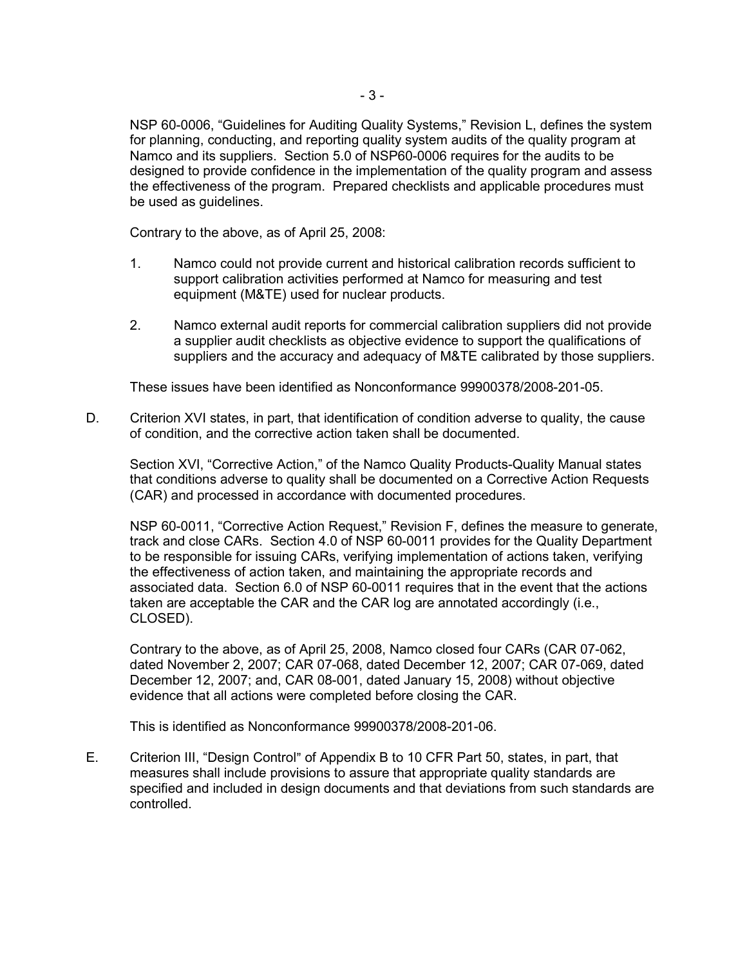NSP 60-0006, "Guidelines for Auditing Quality Systems," Revision L, defines the system for planning, conducting, and reporting quality system audits of the quality program at Namco and its suppliers. Section 5.0 of NSP60-0006 requires for the audits to be designed to provide confidence in the implementation of the quality program and assess the effectiveness of the program. Prepared checklists and applicable procedures must be used as guidelines.

Contrary to the above, as of April 25, 2008:

- 1. Namco could not provide current and historical calibration records sufficient to support calibration activities performed at Namco for measuring and test equipment (M&TE) used for nuclear products.
- 2. Namco external audit reports for commercial calibration suppliers did not provide a supplier audit checklists as objective evidence to support the qualifications of suppliers and the accuracy and adequacy of M&TE calibrated by those suppliers.

These issues have been identified as Nonconformance 99900378/2008-201-05.

D. Criterion XVI states, in part, that identification of condition adverse to quality, the cause of condition, and the corrective action taken shall be documented.

 Section XVI, "Corrective Action," of the Namco Quality Products-Quality Manual states that conditions adverse to quality shall be documented on a Corrective Action Requests (CAR) and processed in accordance with documented procedures.

 NSP 60-0011, "Corrective Action Request," Revision F, defines the measure to generate, track and close CARs. Section 4.0 of NSP 60-0011 provides for the Quality Department to be responsible for issuing CARs, verifying implementation of actions taken, verifying the effectiveness of action taken, and maintaining the appropriate records and associated data. Section 6.0 of NSP 60-0011 requires that in the event that the actions taken are acceptable the CAR and the CAR log are annotated accordingly (i.e., CLOSED).

 Contrary to the above, as of April 25, 2008, Namco closed four CARs (CAR 07-062, dated November 2, 2007; CAR 07-068, dated December 12, 2007; CAR 07-069, dated December 12, 2007; and, CAR 08-001, dated January 15, 2008) without objective evidence that all actions were completed before closing the CAR.

This is identified as Nonconformance 99900378/2008-201-06.

E. Criterion III, "Design Control" of Appendix B to 10 CFR Part 50, states, in part, that measures shall include provisions to assure that appropriate quality standards are specified and included in design documents and that deviations from such standards are controlled.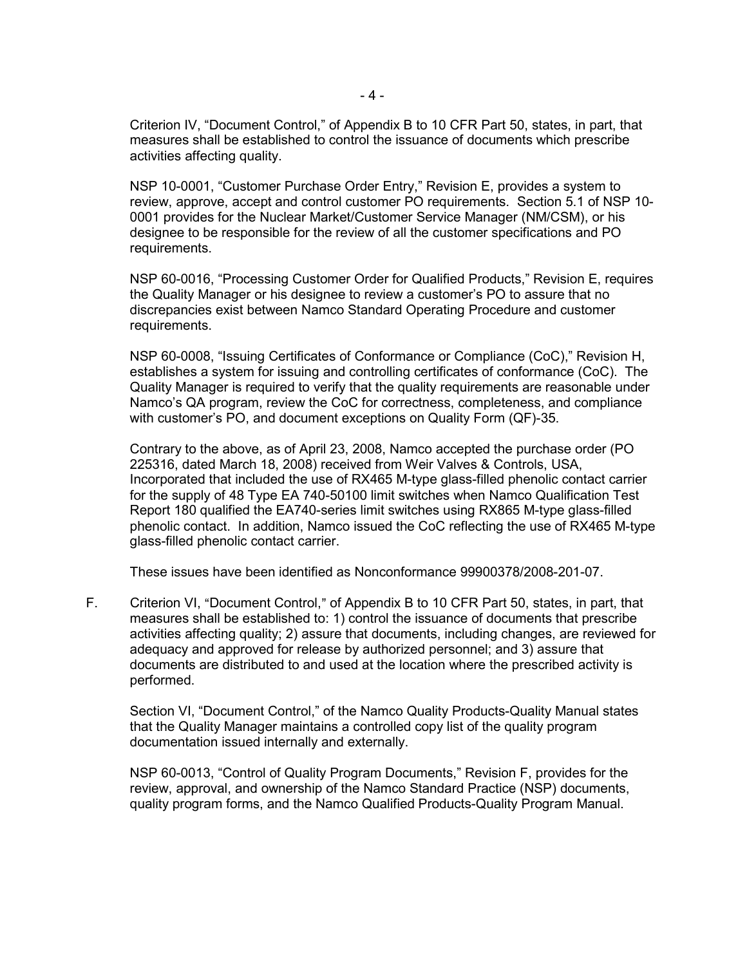Criterion IV, "Document Control," of Appendix B to 10 CFR Part 50, states, in part, that measures shall be established to control the issuance of documents which prescribe activities affecting quality.

NSP 10-0001, "Customer Purchase Order Entry," Revision E, provides a system to review, approve, accept and control customer PO requirements. Section 5.1 of NSP 10- 0001 provides for the Nuclear Market/Customer Service Manager (NM/CSM), or his designee to be responsible for the review of all the customer specifications and PO requirements.

NSP 60-0016, "Processing Customer Order for Qualified Products," Revision E, requires the Quality Manager or his designee to review a customer's PO to assure that no discrepancies exist between Namco Standard Operating Procedure and customer requirements.

NSP 60-0008, "Issuing Certificates of Conformance or Compliance (CoC)," Revision H, establishes a system for issuing and controlling certificates of conformance (CoC). The Quality Manager is required to verify that the quality requirements are reasonable under Namco's QA program, review the CoC for correctness, completeness, and compliance with customer's PO, and document exceptions on Quality Form (QF)-35.

 Contrary to the above, as of April 23, 2008, Namco accepted the purchase order (PO 225316, dated March 18, 2008) received from Weir Valves & Controls, USA, Incorporated that included the use of RX465 M-type glass-filled phenolic contact carrier for the supply of 48 Type EA 740-50100 limit switches when Namco Qualification Test Report 180 qualified the EA740-series limit switches using RX865 M-type glass-filled phenolic contact. In addition, Namco issued the CoC reflecting the use of RX465 M-type glass-filled phenolic contact carrier.

These issues have been identified as Nonconformance 99900378/2008-201-07.

F. Criterion VI, "Document Control," of Appendix B to 10 CFR Part 50, states, in part, that measures shall be established to: 1) control the issuance of documents that prescribe activities affecting quality; 2) assure that documents, including changes, are reviewed for adequacy and approved for release by authorized personnel; and 3) assure that documents are distributed to and used at the location where the prescribed activity is performed.

Section VI, "Document Control," of the Namco Quality Products-Quality Manual states that the Quality Manager maintains a controlled copy list of the quality program documentation issued internally and externally.

NSP 60-0013, "Control of Quality Program Documents," Revision F, provides for the review, approval, and ownership of the Namco Standard Practice (NSP) documents, quality program forms, and the Namco Qualified Products-Quality Program Manual.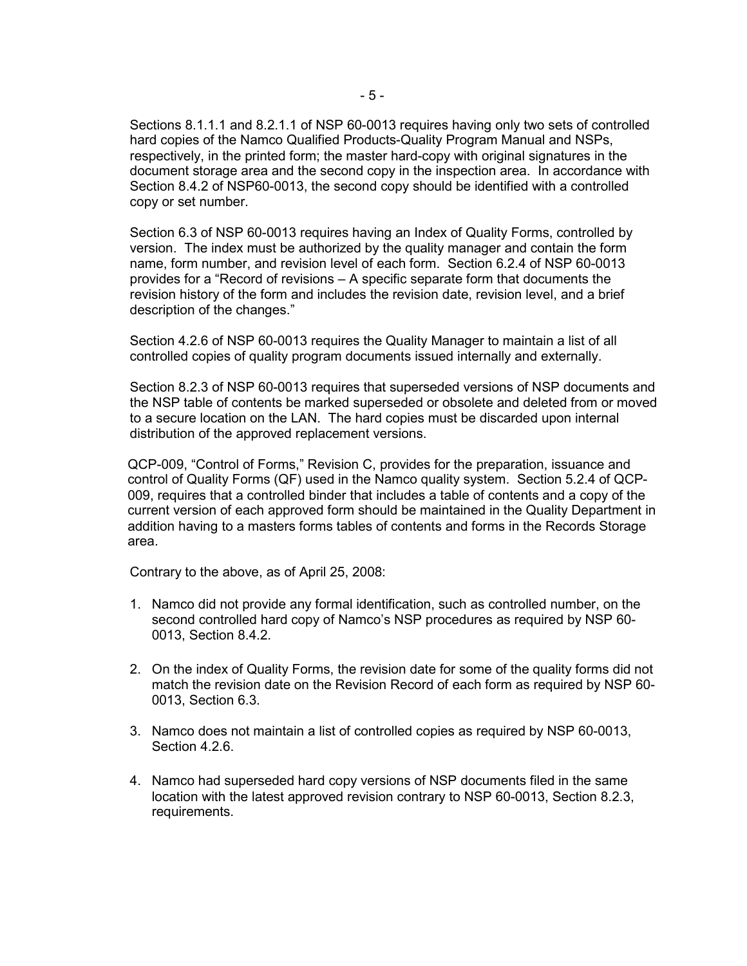Sections 8.1.1.1 and 8.2.1.1 of NSP 60-0013 requires having only two sets of controlled hard copies of the Namco Qualified Products-Quality Program Manual and NSPs, respectively, in the printed form; the master hard-copy with original signatures in the document storage area and the second copy in the inspection area. In accordance with Section 8.4.2 of NSP60-0013, the second copy should be identified with a controlled copy or set number.

Section 6.3 of NSP 60-0013 requires having an Index of Quality Forms, controlled by version. The index must be authorized by the quality manager and contain the form name, form number, and revision level of each form. Section 6.2.4 of NSP 60-0013 provides for a "Record of revisions – A specific separate form that documents the revision history of the form and includes the revision date, revision level, and a brief description of the changes."

Section 4.2.6 of NSP 60-0013 requires the Quality Manager to maintain a list of all controlled copies of quality program documents issued internally and externally.

Section 8.2.3 of NSP 60-0013 requires that superseded versions of NSP documents and the NSP table of contents be marked superseded or obsolete and deleted from or moved to a secure location on the LAN. The hard copies must be discarded upon internal distribution of the approved replacement versions.

QCP-009, "Control of Forms," Revision C, provides for the preparation, issuance and control of Quality Forms (QF) used in the Namco quality system. Section 5.2.4 of QCP-009, requires that a controlled binder that includes a table of contents and a copy of the current version of each approved form should be maintained in the Quality Department in addition having to a masters forms tables of contents and forms in the Records Storage area.

Contrary to the above, as of April 25, 2008:

- 1. Namco did not provide any formal identification, such as controlled number, on the second controlled hard copy of Namco's NSP procedures as required by NSP 60- 0013, Section 8.4.2.
- 2. On the index of Quality Forms, the revision date for some of the quality forms did not match the revision date on the Revision Record of each form as required by NSP 60- 0013, Section 6.3.
- 3. Namco does not maintain a list of controlled copies as required by NSP 60-0013, Section 4.2.6.
- 4. Namco had superseded hard copy versions of NSP documents filed in the same location with the latest approved revision contrary to NSP 60-0013, Section 8.2.3, requirements.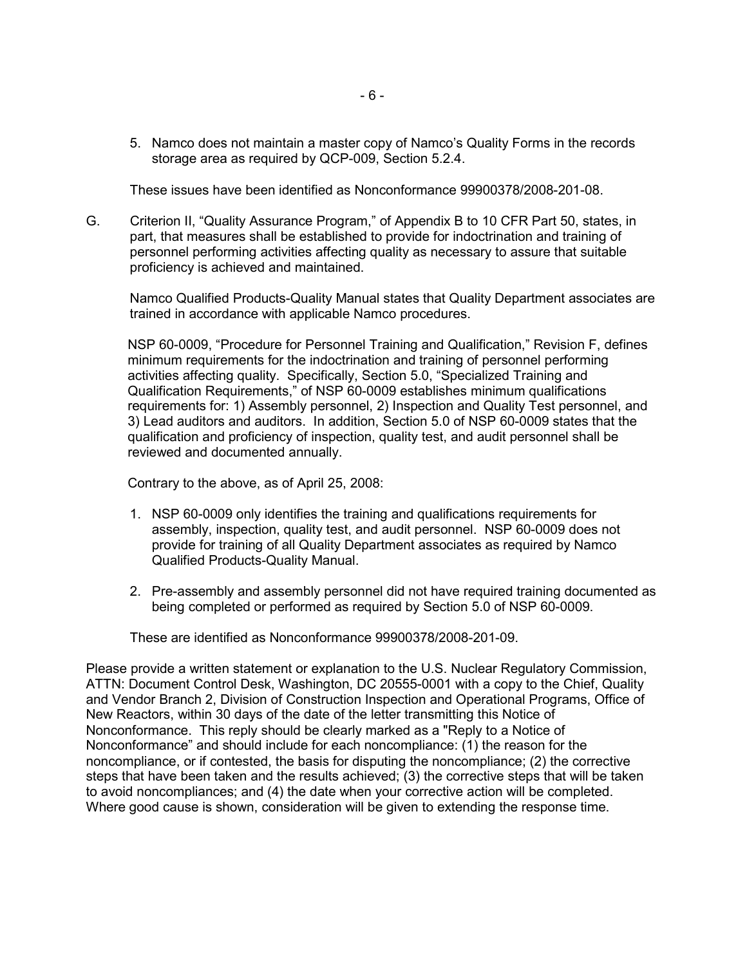5. Namco does not maintain a master copy of Namco's Quality Forms in the records storage area as required by QCP-009, Section 5.2.4.

These issues have been identified as Nonconformance 99900378/2008-201-08.

G. Criterion II, "Quality Assurance Program," of Appendix B to 10 CFR Part 50, states, in part, that measures shall be established to provide for indoctrination and training of personnel performing activities affecting quality as necessary to assure that suitable proficiency is achieved and maintained.

Namco Qualified Products-Quality Manual states that Quality Department associates are trained in accordance with applicable Namco procedures.

NSP 60-0009, "Procedure for Personnel Training and Qualification," Revision F, defines minimum requirements for the indoctrination and training of personnel performing activities affecting quality. Specifically, Section 5.0, "Specialized Training and Qualification Requirements," of NSP 60-0009 establishes minimum qualifications requirements for: 1) Assembly personnel, 2) Inspection and Quality Test personnel, and 3) Lead auditors and auditors. In addition, Section 5.0 of NSP 60-0009 states that the qualification and proficiency of inspection, quality test, and audit personnel shall be reviewed and documented annually.

Contrary to the above, as of April 25, 2008:

- 1. NSP 60-0009 only identifies the training and qualifications requirements for assembly, inspection, quality test, and audit personnel. NSP 60-0009 does not provide for training of all Quality Department associates as required by Namco Qualified Products-Quality Manual.
- 2. Pre-assembly and assembly personnel did not have required training documented as being completed or performed as required by Section 5.0 of NSP 60-0009.

These are identified as Nonconformance 99900378/2008-201-09.

Please provide a written statement or explanation to the U.S. Nuclear Regulatory Commission, ATTN: Document Control Desk, Washington, DC 20555-0001 with a copy to the Chief, Quality and Vendor Branch 2, Division of Construction Inspection and Operational Programs, Office of New Reactors, within 30 days of the date of the letter transmitting this Notice of Nonconformance. This reply should be clearly marked as a "Reply to a Notice of Nonconformance" and should include for each noncompliance: (1) the reason for the noncompliance, or if contested, the basis for disputing the noncompliance; (2) the corrective steps that have been taken and the results achieved; (3) the corrective steps that will be taken to avoid noncompliances; and (4) the date when your corrective action will be completed. Where good cause is shown, consideration will be given to extending the response time.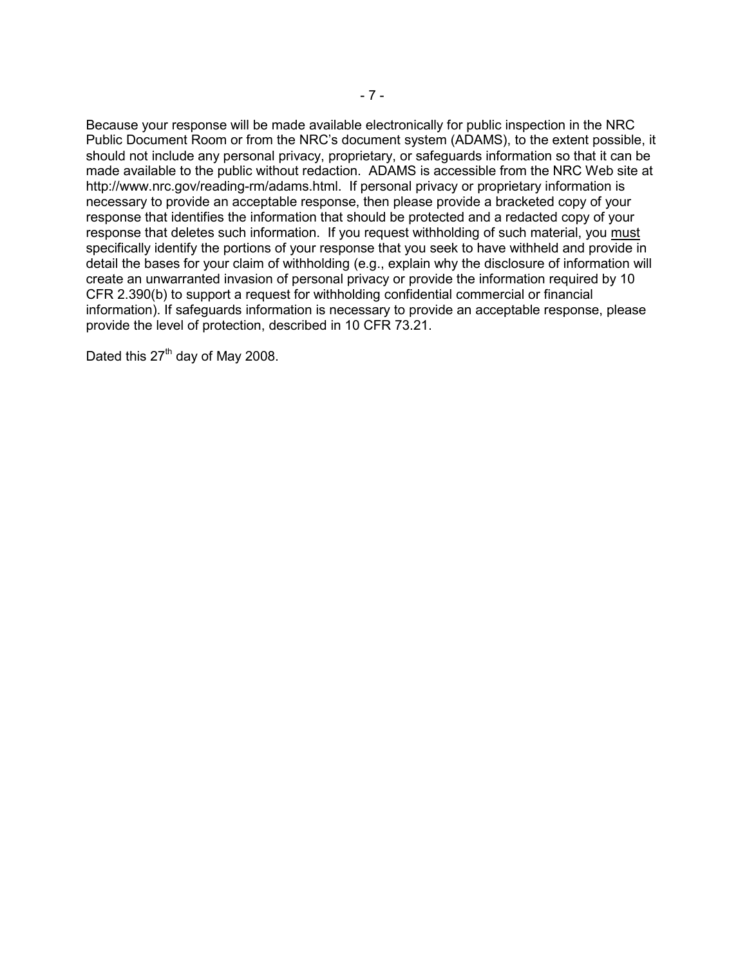Because your response will be made available electronically for public inspection in the NRC Public Document Room or from the NRC's document system (ADAMS), to the extent possible, it should not include any personal privacy, proprietary, or safeguards information so that it can be made available to the public without redaction. ADAMS is accessible from the NRC Web site at http://www.nrc.gov/reading-rm/adams.html. If personal privacy or proprietary information is necessary to provide an acceptable response, then please provide a bracketed copy of your response that identifies the information that should be protected and a redacted copy of your response that deletes such information. If you request withholding of such material, you must specifically identify the portions of your response that you seek to have withheld and provide in detail the bases for your claim of withholding (e.g., explain why the disclosure of information will create an unwarranted invasion of personal privacy or provide the information required by 10 CFR 2.390(b) to support a request for withholding confidential commercial or financial information). If safeguards information is necessary to provide an acceptable response, please provide the level of protection, described in 10 CFR 73.21.

Dated this  $27<sup>th</sup>$  day of May 2008.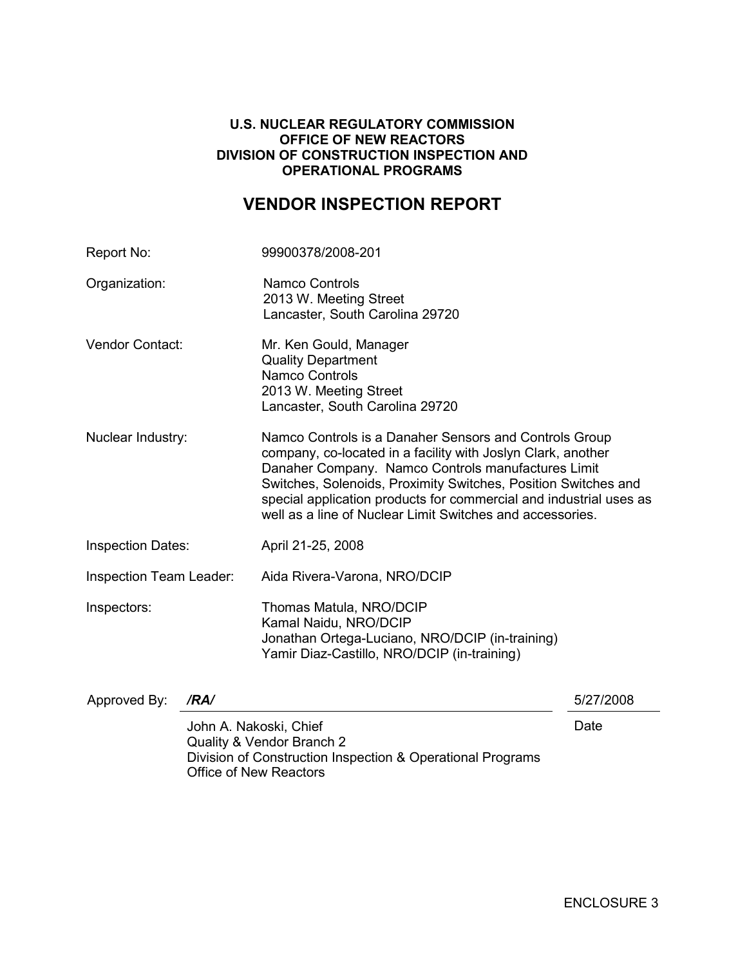#### **U.S. NUCLEAR REGULATORY COMMISSION OFFICE OF NEW REACTORS DIVISION OF CONSTRUCTION INSPECTION AND OPERATIONAL PROGRAMS**

# **VENDOR INSPECTION REPORT**

| Report No:                     |                        | 99900378/2008-201                                                                                                                                                                                                                                                                                                                                                                 |           |
|--------------------------------|------------------------|-----------------------------------------------------------------------------------------------------------------------------------------------------------------------------------------------------------------------------------------------------------------------------------------------------------------------------------------------------------------------------------|-----------|
| Organization:                  |                        | <b>Namco Controls</b><br>2013 W. Meeting Street<br>Lancaster, South Carolina 29720                                                                                                                                                                                                                                                                                                |           |
| <b>Vendor Contact:</b>         |                        | Mr. Ken Gould, Manager<br><b>Quality Department</b><br><b>Namco Controls</b><br>2013 W. Meeting Street<br>Lancaster, South Carolina 29720                                                                                                                                                                                                                                         |           |
| Nuclear Industry:              |                        | Namco Controls is a Danaher Sensors and Controls Group<br>company, co-located in a facility with Joslyn Clark, another<br>Danaher Company. Namco Controls manufactures Limit<br>Switches, Solenoids, Proximity Switches, Position Switches and<br>special application products for commercial and industrial uses as<br>well as a line of Nuclear Limit Switches and accessories. |           |
| <b>Inspection Dates:</b>       |                        | April 21-25, 2008                                                                                                                                                                                                                                                                                                                                                                 |           |
| <b>Inspection Team Leader:</b> |                        | Aida Rivera-Varona, NRO/DCIP                                                                                                                                                                                                                                                                                                                                                      |           |
| Inspectors:                    |                        | Thomas Matula, NRO/DCIP<br>Kamal Naidu, NRO/DCIP<br>Jonathan Ortega-Luciano, NRO/DCIP (in-training)<br>Yamir Diaz-Castillo, NRO/DCIP (in-training)                                                                                                                                                                                                                                |           |
| Approved By:                   | /RA/                   |                                                                                                                                                                                                                                                                                                                                                                                   | 5/27/2008 |
|                                | John A. Nakoski, Chief | Quality & Vendor Branch 2<br>Division of Construction Inspection & Operational Programs                                                                                                                                                                                                                                                                                           | Date      |

Office of New Reactors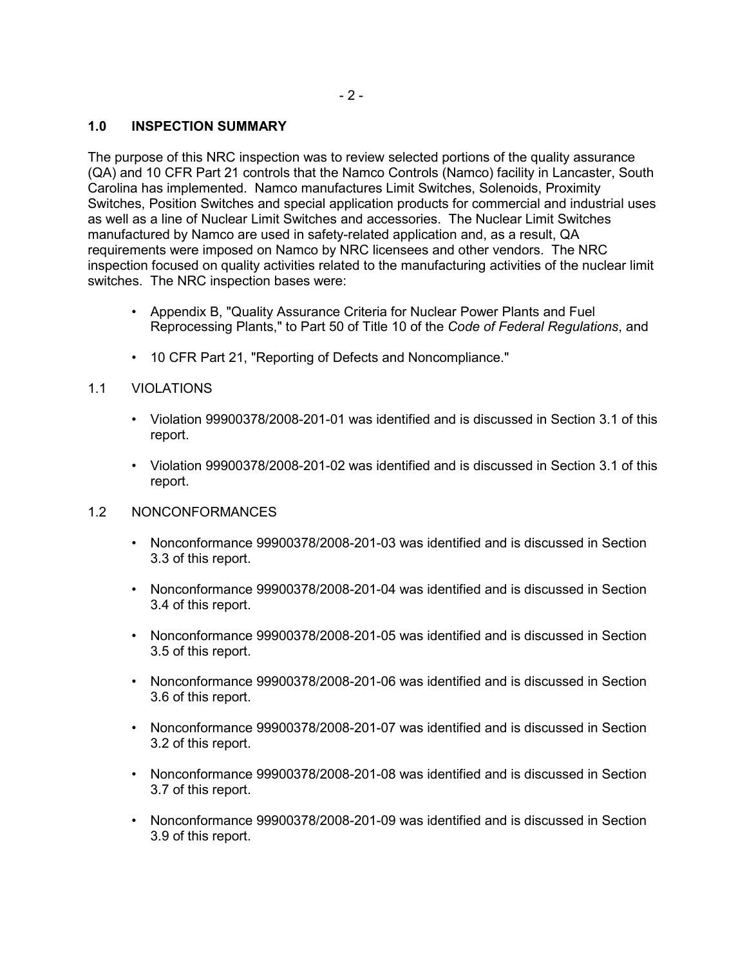## **1.0 INSPECTION SUMMARY**

The purpose of this NRC inspection was to review selected portions of the quality assurance (QA) and 10 CFR Part 21 controls that the Namco Controls (Namco) facility in Lancaster, South Carolina has implemented. Namco manufactures Limit Switches, Solenoids, Proximity Switches, Position Switches and special application products for commercial and industrial uses as well as a line of Nuclear Limit Switches and accessories. The Nuclear Limit Switches manufactured by Namco are used in safety-related application and, as a result, QA requirements were imposed on Namco by NRC licensees and other vendors. The NRC inspection focused on quality activities related to the manufacturing activities of the nuclear limit switches. The NRC inspection bases were:

- Appendix B, "Quality Assurance Criteria for Nuclear Power Plants and Fuel Reprocessing Plants," to Part 50 of Title 10 of the *Code of Federal Regulations*, and
- 10 CFR Part 21, "Reporting of Defects and Noncompliance."

#### 1.1 VIOLATIONS

- Violation 99900378/2008-201-01 was identified and is discussed in Section 3.1 of this report.
- Violation 99900378/2008-201-02 was identified and is discussed in Section 3.1 of this report.

#### 1.2 NONCONFORMANCES

- Nonconformance 99900378/2008-201-03 was identified and is discussed in Section 3.3 of this report.
- Nonconformance 99900378/2008-201-04 was identified and is discussed in Section 3.4 of this report.
- Nonconformance 99900378/2008-201-05 was identified and is discussed in Section 3.5 of this report.
- Nonconformance 99900378/2008-201-06 was identified and is discussed in Section 3.6 of this report.
- Nonconformance 99900378/2008-201-07 was identified and is discussed in Section 3.2 of this report.
- Nonconformance 99900378/2008-201-08 was identified and is discussed in Section 3.7 of this report.
- Nonconformance 99900378/2008-201-09 was identified and is discussed in Section 3.9 of this report.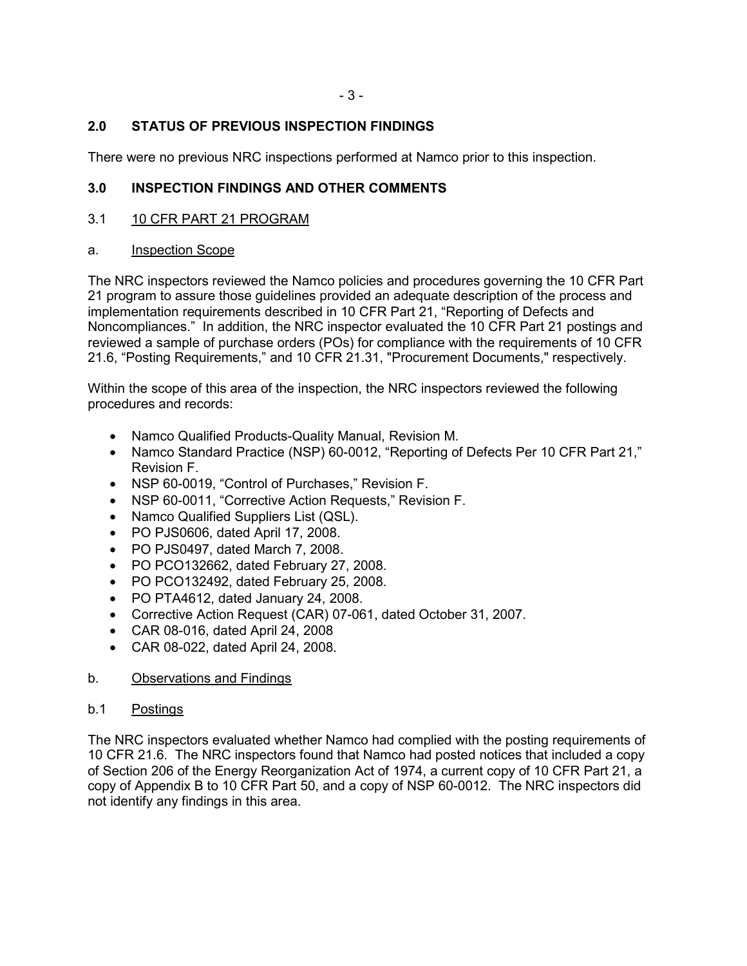# **2.0 STATUS OF PREVIOUS INSPECTION FINDINGS**

There were no previous NRC inspections performed at Namco prior to this inspection.

# **3.0 INSPECTION FINDINGS AND OTHER COMMENTS**

3.1 10 CFR PART 21 PROGRAM

#### a. Inspection Scope

The NRC inspectors reviewed the Namco policies and procedures governing the 10 CFR Part 21 program to assure those guidelines provided an adequate description of the process and implementation requirements described in 10 CFR Part 21, "Reporting of Defects and Noncompliances." In addition, the NRC inspector evaluated the 10 CFR Part 21 postings and reviewed a sample of purchase orders (POs) for compliance with the requirements of 10 CFR 21.6, "Posting Requirements," and 10 CFR 21.31, "Procurement Documents," respectively.

Within the scope of this area of the inspection, the NRC inspectors reviewed the following procedures and records:

- Namco Qualified Products-Quality Manual, Revision M.
- Namco Standard Practice (NSP) 60-0012, "Reporting of Defects Per 10 CFR Part 21," Revision F.
- NSP 60-0019, "Control of Purchases," Revision F.
- NSP 60-0011, "Corrective Action Requests," Revision F.
- Namco Qualified Suppliers List (QSL).
- PO PJS0606, dated April 17, 2008.
- PO PJS0497, dated March 7, 2008.
- PO PCO132662, dated February 27, 2008.
- PO PCO132492, dated February 25, 2008.
- PO PTA4612, dated January 24, 2008.
- Corrective Action Request (CAR) 07-061, dated October 31, 2007.
- CAR 08-016, dated April 24, 2008
- CAR 08-022, dated April 24, 2008.
- b. Observations and Findings

#### b.1 Postings

The NRC inspectors evaluated whether Namco had complied with the posting requirements of 10 CFR 21.6. The NRC inspectors found that Namco had posted notices that included a copy of Section 206 of the Energy Reorganization Act of 1974, a current copy of 10 CFR Part 21, a copy of Appendix B to 10 CFR Part 50, and a copy of NSP 60-0012. The NRC inspectors did not identify any findings in this area.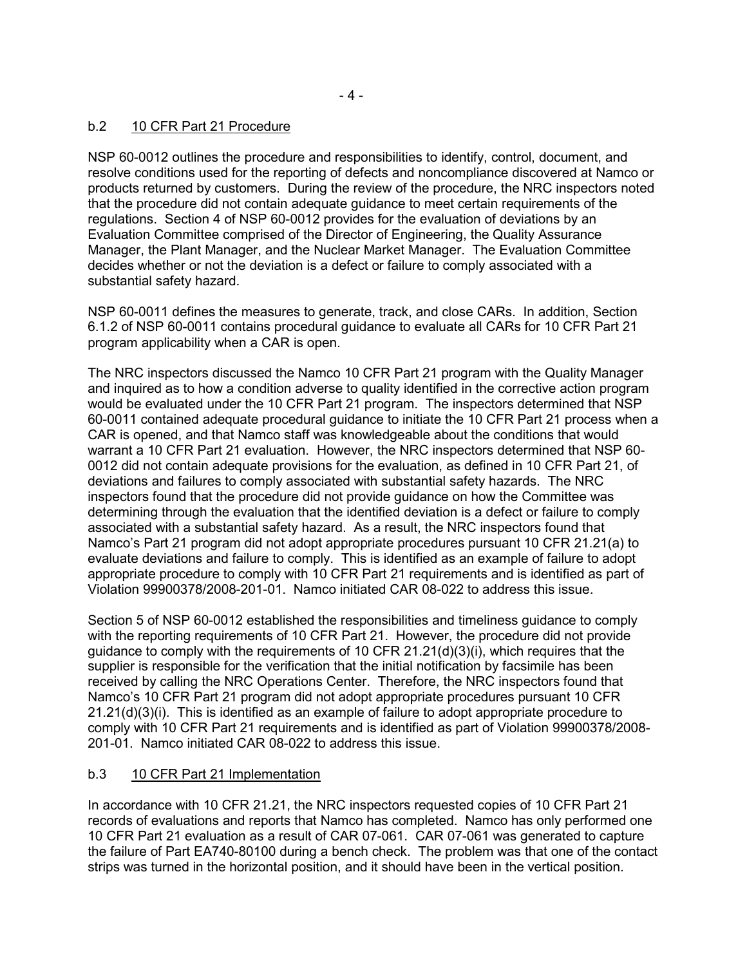# b.2 10 CFR Part 21 Procedure

NSP 60-0012 outlines the procedure and responsibilities to identify, control, document, and resolve conditions used for the reporting of defects and noncompliance discovered at Namco or products returned by customers. During the review of the procedure, the NRC inspectors noted that the procedure did not contain adequate guidance to meet certain requirements of the regulations. Section 4 of NSP 60-0012 provides for the evaluation of deviations by an Evaluation Committee comprised of the Director of Engineering, the Quality Assurance Manager, the Plant Manager, and the Nuclear Market Manager. The Evaluation Committee decides whether or not the deviation is a defect or failure to comply associated with a substantial safety hazard.

NSP 60-0011 defines the measures to generate, track, and close CARs. In addition, Section 6.1.2 of NSP 60-0011 contains procedural guidance to evaluate all CARs for 10 CFR Part 21 program applicability when a CAR is open.

The NRC inspectors discussed the Namco 10 CFR Part 21 program with the Quality Manager and inquired as to how a condition adverse to quality identified in the corrective action program would be evaluated under the 10 CFR Part 21 program. The inspectors determined that NSP 60-0011 contained adequate procedural guidance to initiate the 10 CFR Part 21 process when a CAR is opened, and that Namco staff was knowledgeable about the conditions that would warrant a 10 CFR Part 21 evaluation. However, the NRC inspectors determined that NSP 60- 0012 did not contain adequate provisions for the evaluation, as defined in 10 CFR Part 21, of deviations and failures to comply associated with substantial safety hazards. The NRC inspectors found that the procedure did not provide guidance on how the Committee was determining through the evaluation that the identified deviation is a defect or failure to comply associated with a substantial safety hazard. As a result, the NRC inspectors found that Namco's Part 21 program did not adopt appropriate procedures pursuant 10 CFR 21.21(a) to evaluate deviations and failure to comply. This is identified as an example of failure to adopt appropriate procedure to comply with 10 CFR Part 21 requirements and is identified as part of Violation 99900378/2008-201-01. Namco initiated CAR 08-022 to address this issue.

Section 5 of NSP 60-0012 established the responsibilities and timeliness guidance to comply with the reporting requirements of 10 CFR Part 21. However, the procedure did not provide guidance to comply with the requirements of 10 CFR  $21.21(d)(3)(i)$ , which requires that the supplier is responsible for the verification that the initial notification by facsimile has been received by calling the NRC Operations Center. Therefore, the NRC inspectors found that Namco's 10 CFR Part 21 program did not adopt appropriate procedures pursuant 10 CFR  $21.21(d)(3)(i)$ . This is identified as an example of failure to adopt appropriate procedure to comply with 10 CFR Part 21 requirements and is identified as part of Violation 99900378/2008- 201-01. Namco initiated CAR 08-022 to address this issue.

# b.3 10 CFR Part 21 Implementation

In accordance with 10 CFR 21.21, the NRC inspectors requested copies of 10 CFR Part 21 records of evaluations and reports that Namco has completed. Namco has only performed one 10 CFR Part 21 evaluation as a result of CAR 07-061. CAR 07-061 was generated to capture the failure of Part EA740-80100 during a bench check. The problem was that one of the contact strips was turned in the horizontal position, and it should have been in the vertical position.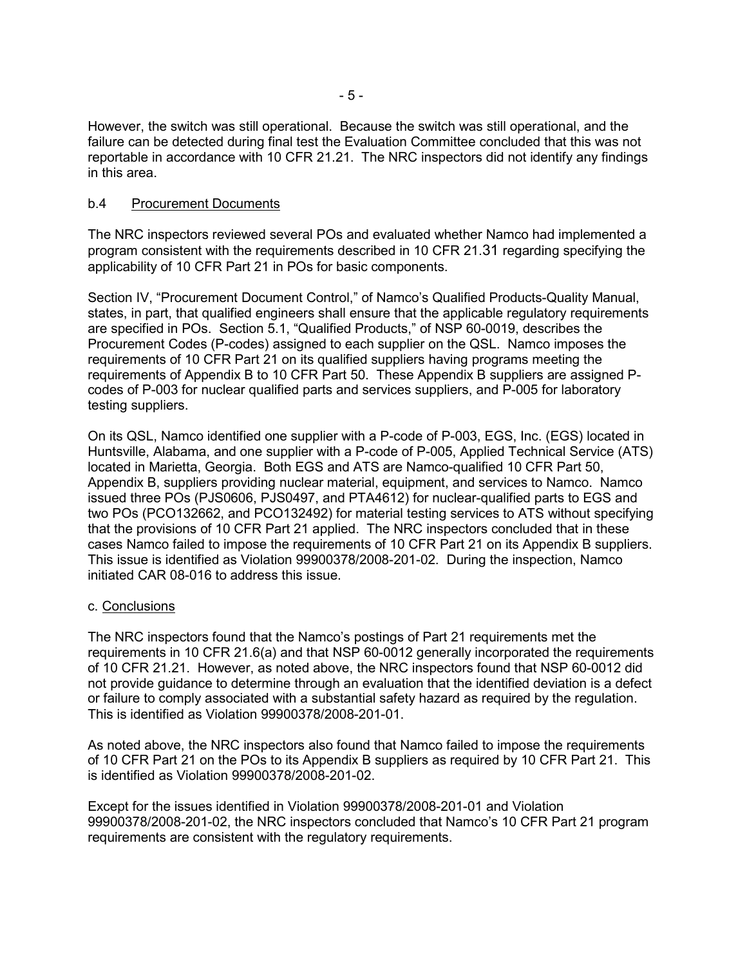However, the switch was still operational. Because the switch was still operational, and the failure can be detected during final test the Evaluation Committee concluded that this was not reportable in accordance with 10 CFR 21.21. The NRC inspectors did not identify any findings in this area.

#### b.4 Procurement Documents

The NRC inspectors reviewed several POs and evaluated whether Namco had implemented a program consistent with the requirements described in 10 CFR 21.31 regarding specifying the applicability of 10 CFR Part 21 in POs for basic components.

Section IV, "Procurement Document Control," of Namco's Qualified Products-Quality Manual, states, in part, that qualified engineers shall ensure that the applicable regulatory requirements are specified in POs. Section 5.1, "Qualified Products," of NSP 60-0019, describes the Procurement Codes (P-codes) assigned to each supplier on the QSL. Namco imposes the requirements of 10 CFR Part 21 on its qualified suppliers having programs meeting the requirements of Appendix B to 10 CFR Part 50. These Appendix B suppliers are assigned Pcodes of P-003 for nuclear qualified parts and services suppliers, and P-005 for laboratory testing suppliers.

On its QSL, Namco identified one supplier with a P-code of P-003, EGS, Inc. (EGS) located in Huntsville, Alabama, and one supplier with a P-code of P-005, Applied Technical Service (ATS) located in Marietta, Georgia. Both EGS and ATS are Namco-qualified 10 CFR Part 50, Appendix B, suppliers providing nuclear material, equipment, and services to Namco. Namco issued three POs (PJS0606, PJS0497, and PTA4612) for nuclear-qualified parts to EGS and two POs (PCO132662, and PCO132492) for material testing services to ATS without specifying that the provisions of 10 CFR Part 21 applied. The NRC inspectors concluded that in these cases Namco failed to impose the requirements of 10 CFR Part 21 on its Appendix B suppliers. This issue is identified as Violation 99900378/2008-201-02. During the inspection, Namco initiated CAR 08-016 to address this issue.

#### c. Conclusions

The NRC inspectors found that the Namco's postings of Part 21 requirements met the requirements in 10 CFR 21.6(a) and that NSP 60-0012 generally incorporated the requirements of 10 CFR 21.21. However, as noted above, the NRC inspectors found that NSP 60-0012 did not provide guidance to determine through an evaluation that the identified deviation is a defect or failure to comply associated with a substantial safety hazard as required by the regulation. This is identified as Violation 99900378/2008-201-01.

As noted above, the NRC inspectors also found that Namco failed to impose the requirements of 10 CFR Part 21 on the POs to its Appendix B suppliers as required by 10 CFR Part 21. This is identified as Violation 99900378/2008-201-02.

Except for the issues identified in Violation 99900378/2008-201-01 and Violation 99900378/2008-201-02, the NRC inspectors concluded that Namco's 10 CFR Part 21 program requirements are consistent with the regulatory requirements.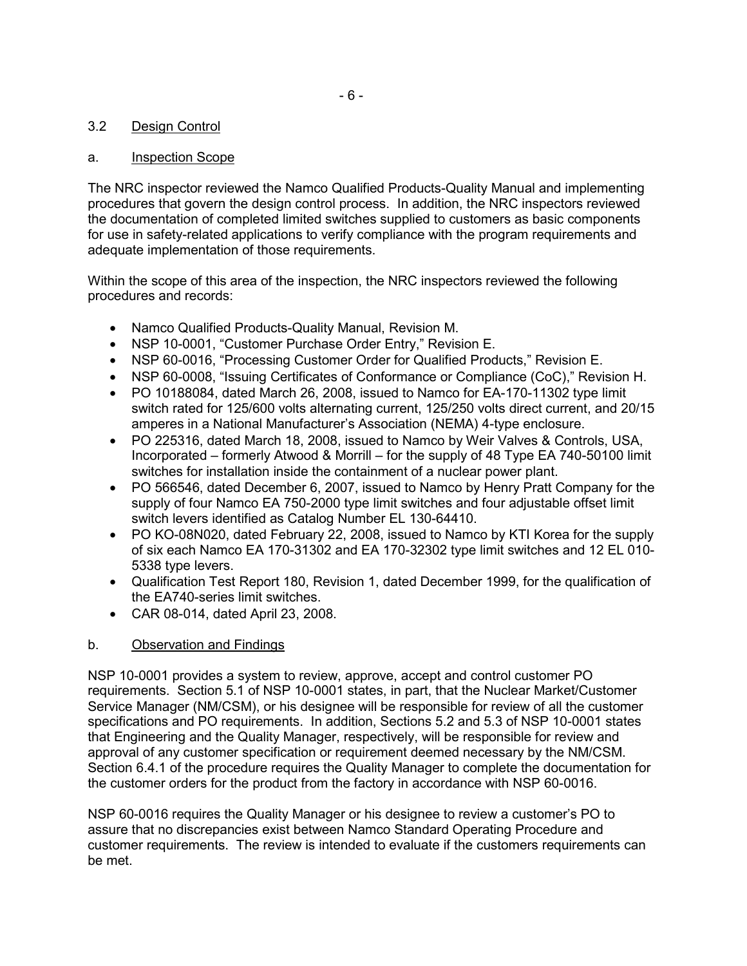# 3.2 Design Control

# a. Inspection Scope

The NRC inspector reviewed the Namco Qualified Products-Quality Manual and implementing procedures that govern the design control process. In addition, the NRC inspectors reviewed the documentation of completed limited switches supplied to customers as basic components for use in safety-related applications to verify compliance with the program requirements and adequate implementation of those requirements.

Within the scope of this area of the inspection, the NRC inspectors reviewed the following procedures and records:

- Namco Qualified Products-Quality Manual, Revision M.
- NSP 10-0001, "Customer Purchase Order Entry," Revision E.
- NSP 60-0016, "Processing Customer Order for Qualified Products," Revision E.
- NSP 60-0008, "Issuing Certificates of Conformance or Compliance (CoC)," Revision H.
- PO 10188084, dated March 26, 2008, issued to Namco for EA-170-11302 type limit switch rated for 125/600 volts alternating current, 125/250 volts direct current, and 20/15 amperes in a National Manufacturer's Association (NEMA) 4-type enclosure.
- PO 225316, dated March 18, 2008, issued to Namco by Weir Valves & Controls, USA, Incorporated – formerly Atwood & Morrill – for the supply of 48 Type EA 740-50100 limit switches for installation inside the containment of a nuclear power plant.
- PO 566546, dated December 6, 2007, issued to Namco by Henry Pratt Company for the supply of four Namco EA 750-2000 type limit switches and four adjustable offset limit switch levers identified as Catalog Number EL 130-64410.
- PO KO-08N020, dated February 22, 2008, issued to Namco by KTI Korea for the supply of six each Namco EA 170-31302 and EA 170-32302 type limit switches and 12 EL 010- 5338 type levers.
- Qualification Test Report 180, Revision 1, dated December 1999, for the qualification of the EA740-series limit switches.
- CAR 08-014, dated April 23, 2008.

# b. Observation and Findings

NSP 10-0001 provides a system to review, approve, accept and control customer PO requirements. Section 5.1 of NSP 10-0001 states, in part, that the Nuclear Market/Customer Service Manager (NM/CSM), or his designee will be responsible for review of all the customer specifications and PO requirements. In addition, Sections 5.2 and 5.3 of NSP 10-0001 states that Engineering and the Quality Manager, respectively, will be responsible for review and approval of any customer specification or requirement deemed necessary by the NM/CSM. Section 6.4.1 of the procedure requires the Quality Manager to complete the documentation for the customer orders for the product from the factory in accordance with NSP 60-0016.

NSP 60-0016 requires the Quality Manager or his designee to review a customer's PO to assure that no discrepancies exist between Namco Standard Operating Procedure and customer requirements. The review is intended to evaluate if the customers requirements can be met.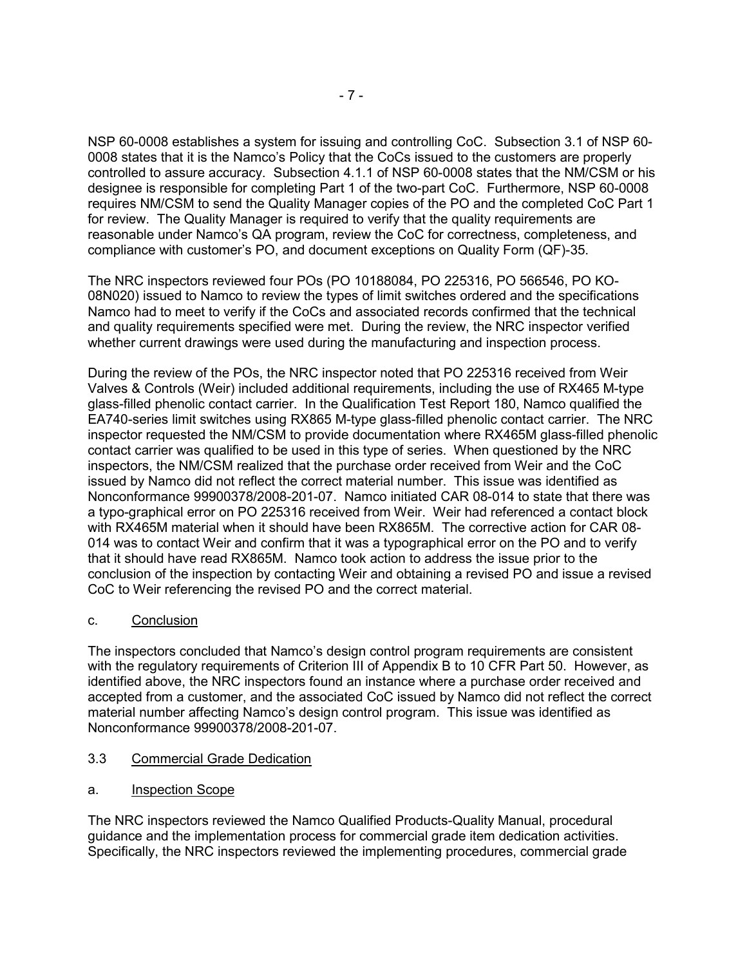NSP 60-0008 establishes a system for issuing and controlling CoC. Subsection 3.1 of NSP 60- 0008 states that it is the Namco's Policy that the CoCs issued to the customers are properly controlled to assure accuracy. Subsection 4.1.1 of NSP 60-0008 states that the NM/CSM or his designee is responsible for completing Part 1 of the two-part CoC. Furthermore, NSP 60-0008 requires NM/CSM to send the Quality Manager copies of the PO and the completed CoC Part 1 for review. The Quality Manager is required to verify that the quality requirements are reasonable under Namco's QA program, review the CoC for correctness, completeness, and compliance with customer's PO, and document exceptions on Quality Form (QF)-35.

The NRC inspectors reviewed four POs (PO 10188084, PO 225316, PO 566546, PO KO-08N020) issued to Namco to review the types of limit switches ordered and the specifications Namco had to meet to verify if the CoCs and associated records confirmed that the technical and quality requirements specified were met. During the review, the NRC inspector verified whether current drawings were used during the manufacturing and inspection process.

During the review of the POs, the NRC inspector noted that PO 225316 received from Weir Valves & Controls (Weir) included additional requirements, including the use of RX465 M-type glass-filled phenolic contact carrier. In the Qualification Test Report 180, Namco qualified the EA740-series limit switches using RX865 M-type glass-filled phenolic contact carrier. The NRC inspector requested the NM/CSM to provide documentation where RX465M glass-filled phenolic contact carrier was qualified to be used in this type of series. When questioned by the NRC inspectors, the NM/CSM realized that the purchase order received from Weir and the CoC issued by Namco did not reflect the correct material number. This issue was identified as Nonconformance 99900378/2008-201-07. Namco initiated CAR 08-014 to state that there was a typo-graphical error on PO 225316 received from Weir. Weir had referenced a contact block with RX465M material when it should have been RX865M. The corrective action for CAR 08- 014 was to contact Weir and confirm that it was a typographical error on the PO and to verify that it should have read RX865M. Namco took action to address the issue prior to the conclusion of the inspection by contacting Weir and obtaining a revised PO and issue a revised CoC to Weir referencing the revised PO and the correct material.

# c. Conclusion

The inspectors concluded that Namco's design control program requirements are consistent with the regulatory requirements of Criterion III of Appendix B to 10 CFR Part 50. However, as identified above, the NRC inspectors found an instance where a purchase order received and accepted from a customer, and the associated CoC issued by Namco did not reflect the correct material number affecting Namco's design control program. This issue was identified as Nonconformance 99900378/2008-201-07.

- 3.3 Commercial Grade Dedication
- a. Inspection Scope

The NRC inspectors reviewed the Namco Qualified Products-Quality Manual, procedural guidance and the implementation process for commercial grade item dedication activities. Specifically, the NRC inspectors reviewed the implementing procedures, commercial grade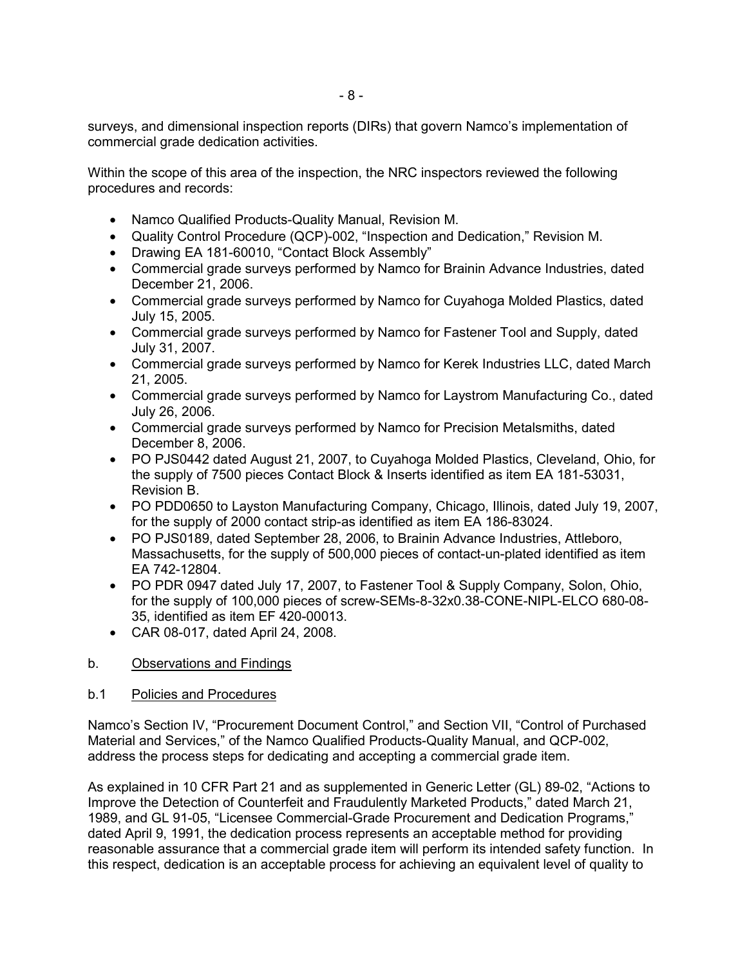surveys, and dimensional inspection reports (DIRs) that govern Namco's implementation of commercial grade dedication activities.

Within the scope of this area of the inspection, the NRC inspectors reviewed the following procedures and records:

- Namco Qualified Products-Quality Manual, Revision M.
- Quality Control Procedure (QCP)-002, "Inspection and Dedication," Revision M.
- Drawing EA 181-60010, "Contact Block Assembly"
- Commercial grade surveys performed by Namco for Brainin Advance Industries, dated December 21, 2006.
- Commercial grade surveys performed by Namco for Cuyahoga Molded Plastics, dated July 15, 2005.
- Commercial grade surveys performed by Namco for Fastener Tool and Supply, dated July 31, 2007.
- Commercial grade surveys performed by Namco for Kerek Industries LLC, dated March 21, 2005.
- Commercial grade surveys performed by Namco for Laystrom Manufacturing Co., dated July 26, 2006.
- Commercial grade surveys performed by Namco for Precision Metalsmiths, dated December 8, 2006.
- PO PJS0442 dated August 21, 2007, to Cuyahoga Molded Plastics, Cleveland, Ohio, for the supply of 7500 pieces Contact Block & Inserts identified as item EA 181-53031, Revision B.
- PO PDD0650 to Layston Manufacturing Company, Chicago, Illinois, dated July 19, 2007, for the supply of 2000 contact strip-as identified as item EA 186-83024.
- PO PJS0189, dated September 28, 2006, to Brainin Advance Industries, Attleboro, Massachusetts, for the supply of 500,000 pieces of contact-un-plated identified as item EA 742-12804.
- PO PDR 0947 dated July 17, 2007, to Fastener Tool & Supply Company, Solon, Ohio, for the supply of 100,000 pieces of screw-SEMs-8-32x0.38-CONE-NIPL-ELCO 680-08- 35, identified as item EF 420-00013.
- CAR 08-017, dated April 24, 2008.

# b. Observations and Findings

#### b.1 Policies and Procedures

Namco's Section IV, "Procurement Document Control," and Section VII, "Control of Purchased Material and Services," of the Namco Qualified Products-Quality Manual, and QCP-002, address the process steps for dedicating and accepting a commercial grade item.

As explained in 10 CFR Part 21 and as supplemented in Generic Letter (GL) 89-02, "Actions to Improve the Detection of Counterfeit and Fraudulently Marketed Products," dated March 21, 1989, and GL 91-05, "Licensee Commercial-Grade Procurement and Dedication Programs," dated April 9, 1991, the dedication process represents an acceptable method for providing reasonable assurance that a commercial grade item will perform its intended safety function. In this respect, dedication is an acceptable process for achieving an equivalent level of quality to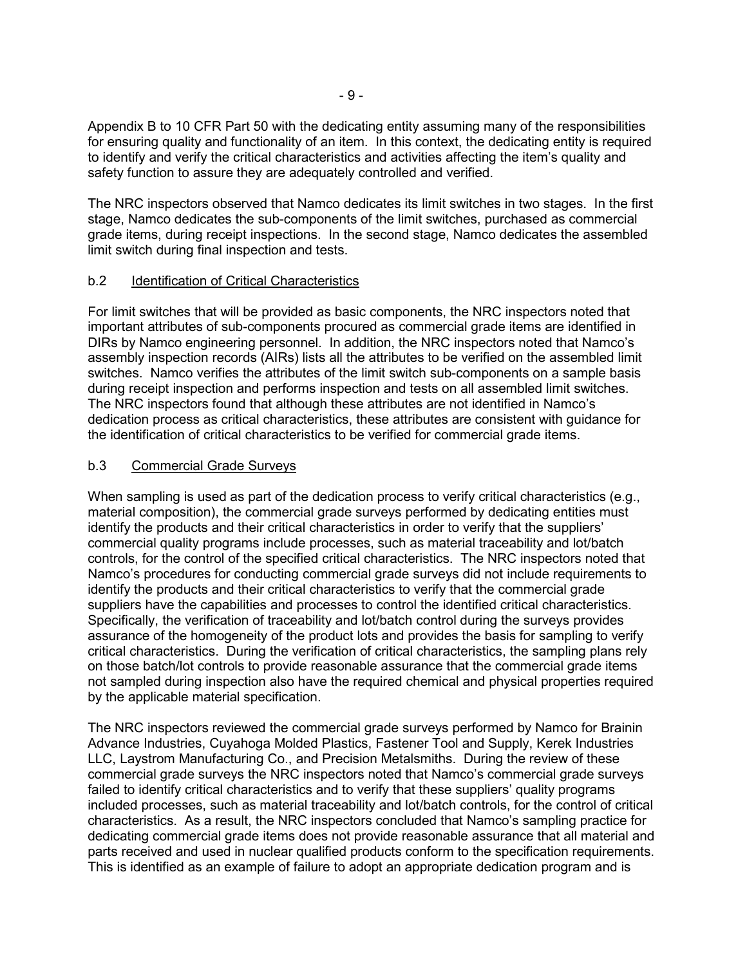Appendix B to 10 CFR Part 50 with the dedicating entity assuming many of the responsibilities for ensuring quality and functionality of an item. In this context, the dedicating entity is required to identify and verify the critical characteristics and activities affecting the item's quality and safety function to assure they are adequately controlled and verified.

The NRC inspectors observed that Namco dedicates its limit switches in two stages. In the first stage, Namco dedicates the sub-components of the limit switches, purchased as commercial grade items, during receipt inspections. In the second stage, Namco dedicates the assembled limit switch during final inspection and tests.

#### b.2 Identification of Critical Characteristics

For limit switches that will be provided as basic components, the NRC inspectors noted that important attributes of sub-components procured as commercial grade items are identified in DIRs by Namco engineering personnel. In addition, the NRC inspectors noted that Namco's assembly inspection records (AIRs) lists all the attributes to be verified on the assembled limit switches. Namco verifies the attributes of the limit switch sub-components on a sample basis during receipt inspection and performs inspection and tests on all assembled limit switches. The NRC inspectors found that although these attributes are not identified in Namco's dedication process as critical characteristics, these attributes are consistent with guidance for the identification of critical characteristics to be verified for commercial grade items.

#### b.3 Commercial Grade Surveys

When sampling is used as part of the dedication process to verify critical characteristics (e.g., material composition), the commercial grade surveys performed by dedicating entities must identify the products and their critical characteristics in order to verify that the suppliers' commercial quality programs include processes, such as material traceability and lot/batch controls, for the control of the specified critical characteristics. The NRC inspectors noted that Namco's procedures for conducting commercial grade surveys did not include requirements to identify the products and their critical characteristics to verify that the commercial grade suppliers have the capabilities and processes to control the identified critical characteristics. Specifically, the verification of traceability and lot/batch control during the surveys provides assurance of the homogeneity of the product lots and provides the basis for sampling to verify critical characteristics. During the verification of critical characteristics, the sampling plans rely on those batch/lot controls to provide reasonable assurance that the commercial grade items not sampled during inspection also have the required chemical and physical properties required by the applicable material specification.

The NRC inspectors reviewed the commercial grade surveys performed by Namco for Brainin Advance Industries, Cuyahoga Molded Plastics, Fastener Tool and Supply, Kerek Industries LLC, Laystrom Manufacturing Co., and Precision Metalsmiths. During the review of these commercial grade surveys the NRC inspectors noted that Namco's commercial grade surveys failed to identify critical characteristics and to verify that these suppliers' quality programs included processes, such as material traceability and lot/batch controls, for the control of critical characteristics. As a result, the NRC inspectors concluded that Namco's sampling practice for dedicating commercial grade items does not provide reasonable assurance that all material and parts received and used in nuclear qualified products conform to the specification requirements. This is identified as an example of failure to adopt an appropriate dedication program and is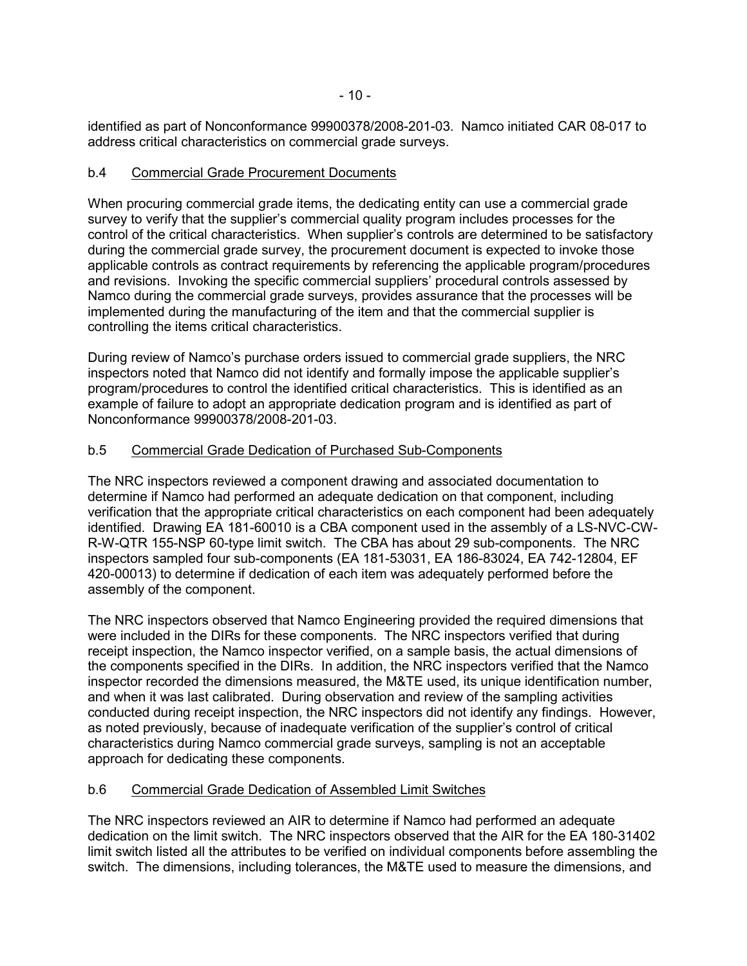identified as part of Nonconformance 99900378/2008-201-03. Namco initiated CAR 08-017 to address critical characteristics on commercial grade surveys.

### b.4 Commercial Grade Procurement Documents

When procuring commercial grade items, the dedicating entity can use a commercial grade survey to verify that the supplier's commercial quality program includes processes for the control of the critical characteristics. When supplier's controls are determined to be satisfactory during the commercial grade survey, the procurement document is expected to invoke those applicable controls as contract requirements by referencing the applicable program/procedures and revisions. Invoking the specific commercial suppliers' procedural controls assessed by Namco during the commercial grade surveys, provides assurance that the processes will be implemented during the manufacturing of the item and that the commercial supplier is controlling the items critical characteristics.

During review of Namco's purchase orders issued to commercial grade suppliers, the NRC inspectors noted that Namco did not identify and formally impose the applicable supplier's program/procedures to control the identified critical characteristics. This is identified as an example of failure to adopt an appropriate dedication program and is identified as part of Nonconformance 99900378/2008-201-03.

#### b.5 Commercial Grade Dedication of Purchased Sub-Components

The NRC inspectors reviewed a component drawing and associated documentation to determine if Namco had performed an adequate dedication on that component, including verification that the appropriate critical characteristics on each component had been adequately identified. Drawing EA 181-60010 is a CBA component used in the assembly of a LS-NVC-CW-R-W-QTR 155-NSP 60-type limit switch. The CBA has about 29 sub-components. The NRC inspectors sampled four sub-components (EA 181-53031, EA 186-83024, EA 742-12804, EF 420-00013) to determine if dedication of each item was adequately performed before the assembly of the component.

The NRC inspectors observed that Namco Engineering provided the required dimensions that were included in the DIRs for these components. The NRC inspectors verified that during receipt inspection, the Namco inspector verified, on a sample basis, the actual dimensions of the components specified in the DIRs. In addition, the NRC inspectors verified that the Namco inspector recorded the dimensions measured, the M&TE used, its unique identification number, and when it was last calibrated. During observation and review of the sampling activities conducted during receipt inspection, the NRC inspectors did not identify any findings. However, as noted previously, because of inadequate verification of the supplier's control of critical characteristics during Namco commercial grade surveys, sampling is not an acceptable approach for dedicating these components.

# b.6 Commercial Grade Dedication of Assembled Limit Switches

The NRC inspectors reviewed an AIR to determine if Namco had performed an adequate dedication on the limit switch. The NRC inspectors observed that the AIR for the EA 180-31402 limit switch listed all the attributes to be verified on individual components before assembling the switch. The dimensions, including tolerances, the M&TE used to measure the dimensions, and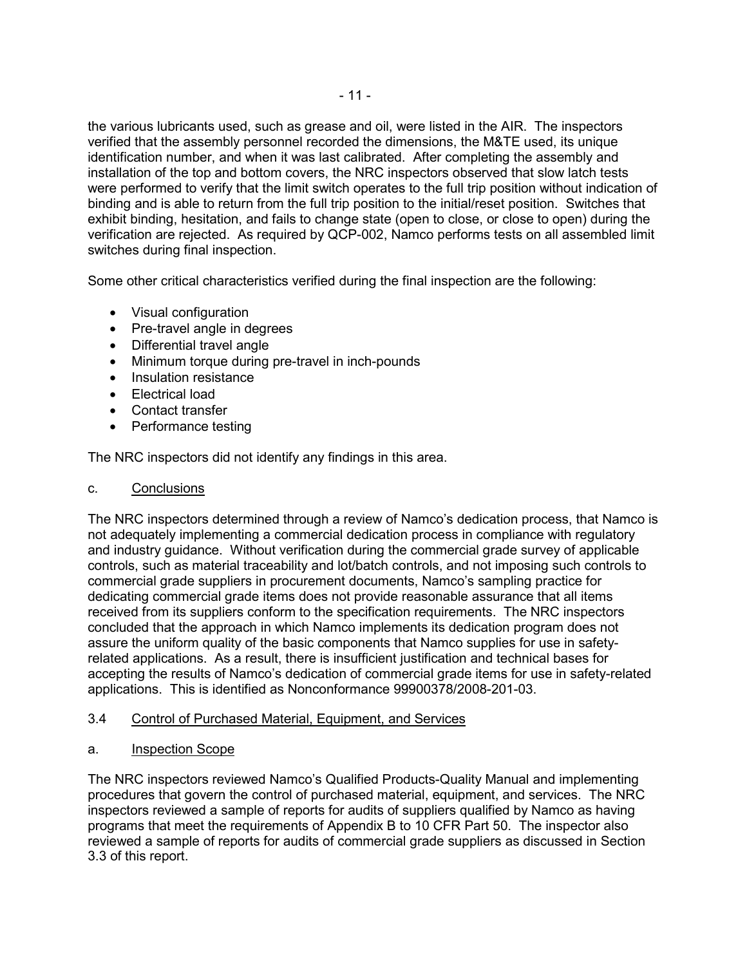the various lubricants used, such as grease and oil, were listed in the AIR. The inspectors verified that the assembly personnel recorded the dimensions, the M&TE used, its unique identification number, and when it was last calibrated. After completing the assembly and installation of the top and bottom covers, the NRC inspectors observed that slow latch tests were performed to verify that the limit switch operates to the full trip position without indication of binding and is able to return from the full trip position to the initial/reset position. Switches that exhibit binding, hesitation, and fails to change state (open to close, or close to open) during the verification are rejected. As required by QCP-002, Namco performs tests on all assembled limit switches during final inspection.

Some other critical characteristics verified during the final inspection are the following:

- Visual configuration
- Pre-travel angle in degrees
- Differential travel angle
- Minimum torque during pre-travel in inch-pounds
- Insulation resistance
- Electrical load
- Contact transfer
- Performance testing

The NRC inspectors did not identify any findings in this area.

# c. Conclusions

The NRC inspectors determined through a review of Namco's dedication process, that Namco is not adequately implementing a commercial dedication process in compliance with regulatory and industry guidance. Without verification during the commercial grade survey of applicable controls, such as material traceability and lot/batch controls, and not imposing such controls to commercial grade suppliers in procurement documents, Namco's sampling practice for dedicating commercial grade items does not provide reasonable assurance that all items received from its suppliers conform to the specification requirements. The NRC inspectors concluded that the approach in which Namco implements its dedication program does not assure the uniform quality of the basic components that Namco supplies for use in safetyrelated applications. As a result, there is insufficient justification and technical bases for accepting the results of Namco's dedication of commercial grade items for use in safety-related applications. This is identified as Nonconformance 99900378/2008-201-03.

# 3.4 Control of Purchased Material, Equipment, and Services

a. Inspection Scope

The NRC inspectors reviewed Namco's Qualified Products-Quality Manual and implementing procedures that govern the control of purchased material, equipment, and services. The NRC inspectors reviewed a sample of reports for audits of suppliers qualified by Namco as having programs that meet the requirements of Appendix B to 10 CFR Part 50. The inspector also reviewed a sample of reports for audits of commercial grade suppliers as discussed in Section 3.3 of this report.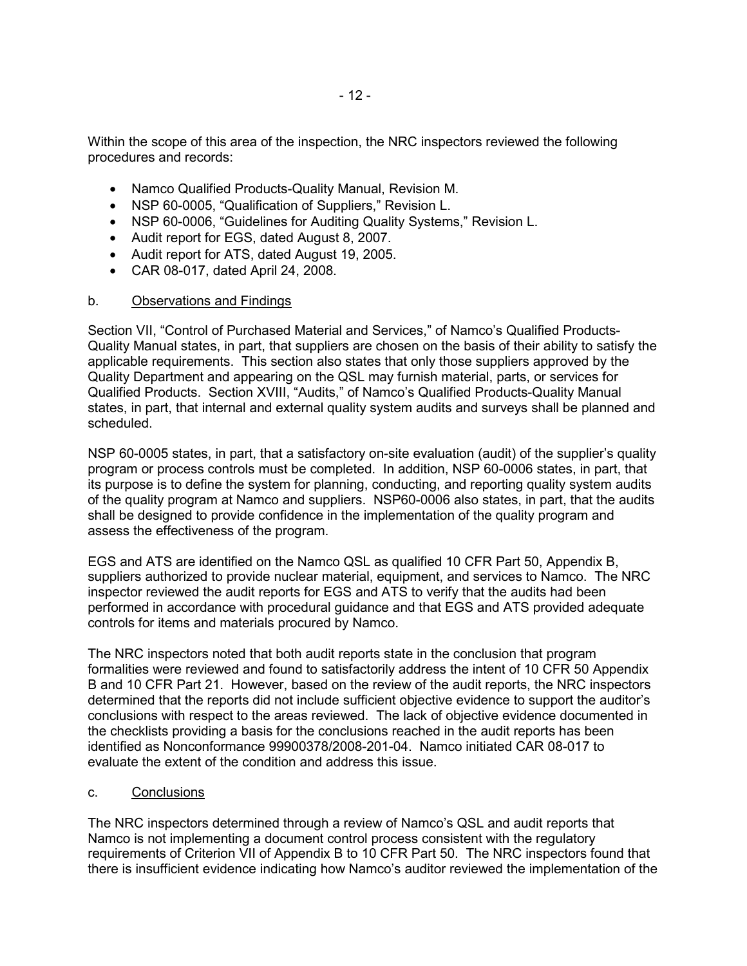Within the scope of this area of the inspection, the NRC inspectors reviewed the following procedures and records:

- Namco Qualified Products-Quality Manual, Revision M.
- NSP 60-0005, "Qualification of Suppliers," Revision L.
- NSP 60-0006, "Guidelines for Auditing Quality Systems," Revision L.
- Audit report for EGS, dated August 8, 2007.
- Audit report for ATS, dated August 19, 2005.
- CAR 08-017, dated April 24, 2008.

#### b. Observations and Findings

Section VII, "Control of Purchased Material and Services," of Namco's Qualified Products-Quality Manual states, in part, that suppliers are chosen on the basis of their ability to satisfy the applicable requirements. This section also states that only those suppliers approved by the Quality Department and appearing on the QSL may furnish material, parts, or services for Qualified Products. Section XVIII, "Audits," of Namco's Qualified Products-Quality Manual states, in part, that internal and external quality system audits and surveys shall be planned and scheduled.

NSP 60-0005 states, in part, that a satisfactory on-site evaluation (audit) of the supplier's quality program or process controls must be completed. In addition, NSP 60-0006 states, in part, that its purpose is to define the system for planning, conducting, and reporting quality system audits of the quality program at Namco and suppliers. NSP60-0006 also states, in part, that the audits shall be designed to provide confidence in the implementation of the quality program and assess the effectiveness of the program.

EGS and ATS are identified on the Namco QSL as qualified 10 CFR Part 50, Appendix B, suppliers authorized to provide nuclear material, equipment, and services to Namco. The NRC inspector reviewed the audit reports for EGS and ATS to verify that the audits had been performed in accordance with procedural guidance and that EGS and ATS provided adequate controls for items and materials procured by Namco.

The NRC inspectors noted that both audit reports state in the conclusion that program formalities were reviewed and found to satisfactorily address the intent of 10 CFR 50 Appendix B and 10 CFR Part 21. However, based on the review of the audit reports, the NRC inspectors determined that the reports did not include sufficient objective evidence to support the auditor's conclusions with respect to the areas reviewed. The lack of objective evidence documented in the checklists providing a basis for the conclusions reached in the audit reports has been identified as Nonconformance 99900378/2008-201-04. Namco initiated CAR 08-017 to evaluate the extent of the condition and address this issue.

c. Conclusions

The NRC inspectors determined through a review of Namco's QSL and audit reports that Namco is not implementing a document control process consistent with the regulatory requirements of Criterion VII of Appendix B to 10 CFR Part 50. The NRC inspectors found that there is insufficient evidence indicating how Namco's auditor reviewed the implementation of the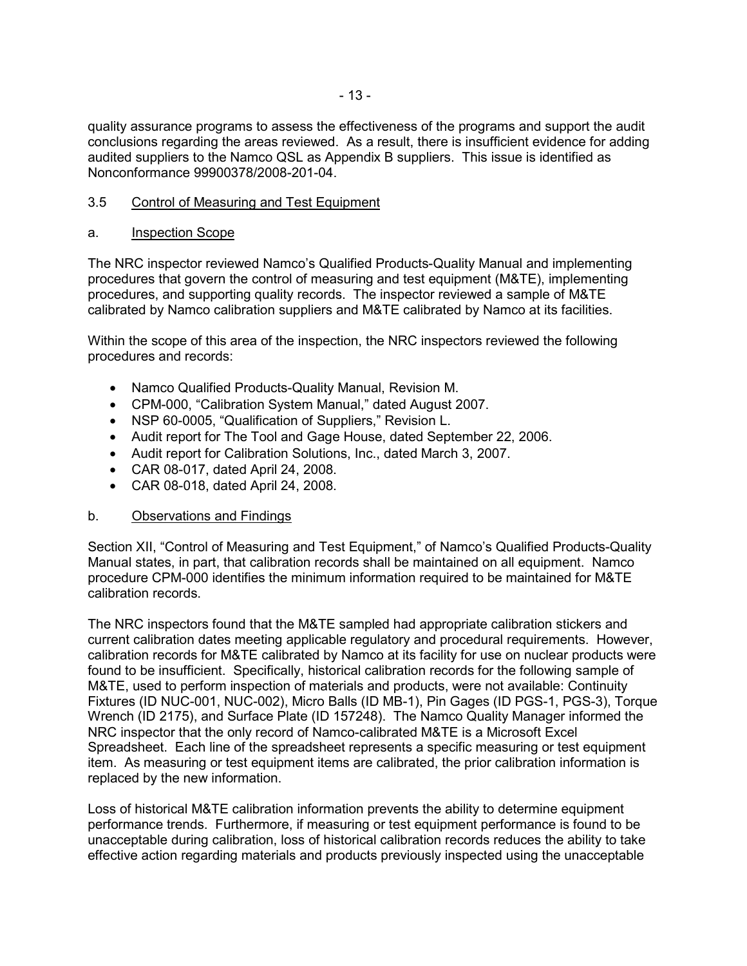quality assurance programs to assess the effectiveness of the programs and support the audit conclusions regarding the areas reviewed. As a result, there is insufficient evidence for adding audited suppliers to the Namco QSL as Appendix B suppliers. This issue is identified as Nonconformance 99900378/2008-201-04.

### 3.5 Control of Measuring and Test Equipment

#### a. Inspection Scope

The NRC inspector reviewed Namco's Qualified Products-Quality Manual and implementing procedures that govern the control of measuring and test equipment (M&TE), implementing procedures, and supporting quality records. The inspector reviewed a sample of M&TE calibrated by Namco calibration suppliers and M&TE calibrated by Namco at its facilities.

Within the scope of this area of the inspection, the NRC inspectors reviewed the following procedures and records:

- Namco Qualified Products-Quality Manual, Revision M.
- CPM-000, "Calibration System Manual," dated August 2007.
- NSP 60-0005, "Qualification of Suppliers," Revision L.
- Audit report for The Tool and Gage House, dated September 22, 2006.
- Audit report for Calibration Solutions, Inc., dated March 3, 2007.
- CAR 08-017, dated April 24, 2008.
- CAR 08-018, dated April 24, 2008.

# b. Observations and Findings

Section XII, "Control of Measuring and Test Equipment," of Namco's Qualified Products-Quality Manual states, in part, that calibration records shall be maintained on all equipment. Namco procedure CPM-000 identifies the minimum information required to be maintained for M&TE calibration records.

The NRC inspectors found that the M&TE sampled had appropriate calibration stickers and current calibration dates meeting applicable regulatory and procedural requirements. However, calibration records for M&TE calibrated by Namco at its facility for use on nuclear products were found to be insufficient. Specifically, historical calibration records for the following sample of M&TE, used to perform inspection of materials and products, were not available: Continuity Fixtures (ID NUC-001, NUC-002), Micro Balls (ID MB-1), Pin Gages (ID PGS-1, PGS-3), Torque Wrench (ID 2175), and Surface Plate (ID 157248). The Namco Quality Manager informed the NRC inspector that the only record of Namco-calibrated M&TE is a Microsoft Excel Spreadsheet. Each line of the spreadsheet represents a specific measuring or test equipment item. As measuring or test equipment items are calibrated, the prior calibration information is replaced by the new information.

Loss of historical M&TE calibration information prevents the ability to determine equipment performance trends. Furthermore, if measuring or test equipment performance is found to be unacceptable during calibration, loss of historical calibration records reduces the ability to take effective action regarding materials and products previously inspected using the unacceptable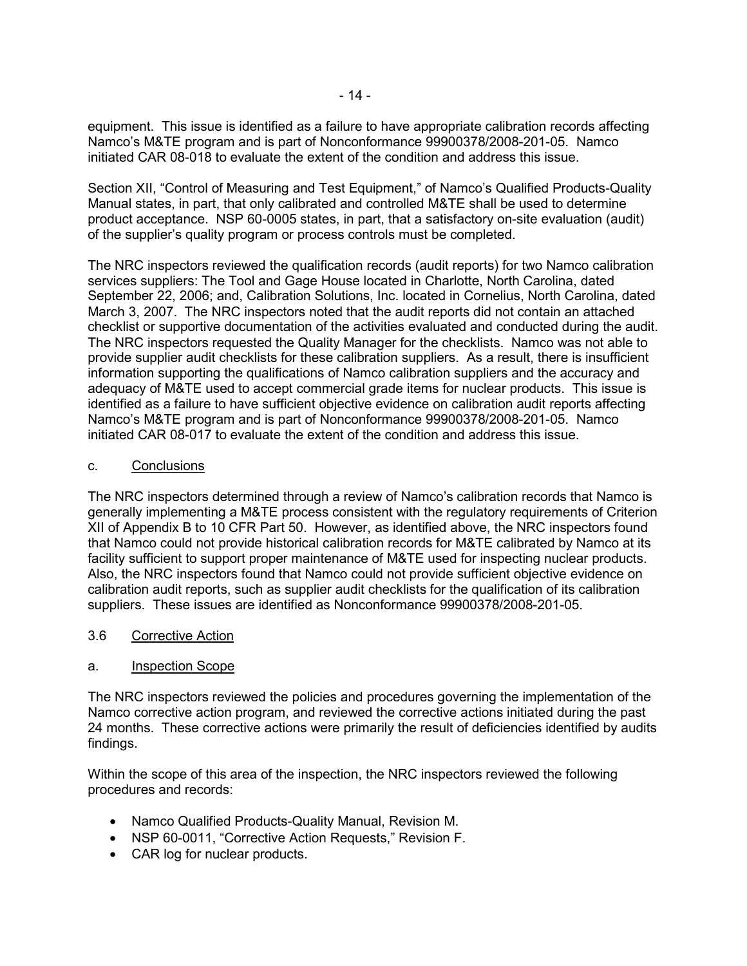equipment. This issue is identified as a failure to have appropriate calibration records affecting Namco's M&TE program and is part of Nonconformance 99900378/2008-201-05. Namco initiated CAR 08-018 to evaluate the extent of the condition and address this issue.

Section XII, "Control of Measuring and Test Equipment," of Namco's Qualified Products-Quality Manual states, in part, that only calibrated and controlled M&TE shall be used to determine product acceptance. NSP 60-0005 states, in part, that a satisfactory on-site evaluation (audit) of the supplier's quality program or process controls must be completed.

The NRC inspectors reviewed the qualification records (audit reports) for two Namco calibration services suppliers: The Tool and Gage House located in Charlotte, North Carolina, dated September 22, 2006; and, Calibration Solutions, Inc. located in Cornelius, North Carolina, dated March 3, 2007. The NRC inspectors noted that the audit reports did not contain an attached checklist or supportive documentation of the activities evaluated and conducted during the audit. The NRC inspectors requested the Quality Manager for the checklists. Namco was not able to provide supplier audit checklists for these calibration suppliers. As a result, there is insufficient information supporting the qualifications of Namco calibration suppliers and the accuracy and adequacy of M&TE used to accept commercial grade items for nuclear products. This issue is identified as a failure to have sufficient objective evidence on calibration audit reports affecting Namco's M&TE program and is part of Nonconformance 99900378/2008-201-05. Namco initiated CAR 08-017 to evaluate the extent of the condition and address this issue.

#### c. Conclusions

The NRC inspectors determined through a review of Namco's calibration records that Namco is generally implementing a M&TE process consistent with the regulatory requirements of Criterion XII of Appendix B to 10 CFR Part 50. However, as identified above, the NRC inspectors found that Namco could not provide historical calibration records for M&TE calibrated by Namco at its facility sufficient to support proper maintenance of M&TE used for inspecting nuclear products. Also, the NRC inspectors found that Namco could not provide sufficient objective evidence on calibration audit reports, such as supplier audit checklists for the qualification of its calibration suppliers. These issues are identified as Nonconformance 99900378/2008-201-05.

#### 3.6 Corrective Action

#### a. Inspection Scope

The NRC inspectors reviewed the policies and procedures governing the implementation of the Namco corrective action program, and reviewed the corrective actions initiated during the past 24 months. These corrective actions were primarily the result of deficiencies identified by audits findings.

Within the scope of this area of the inspection, the NRC inspectors reviewed the following procedures and records:

- Namco Qualified Products-Quality Manual, Revision M.
- NSP 60-0011, "Corrective Action Requests," Revision F.
- CAR log for nuclear products.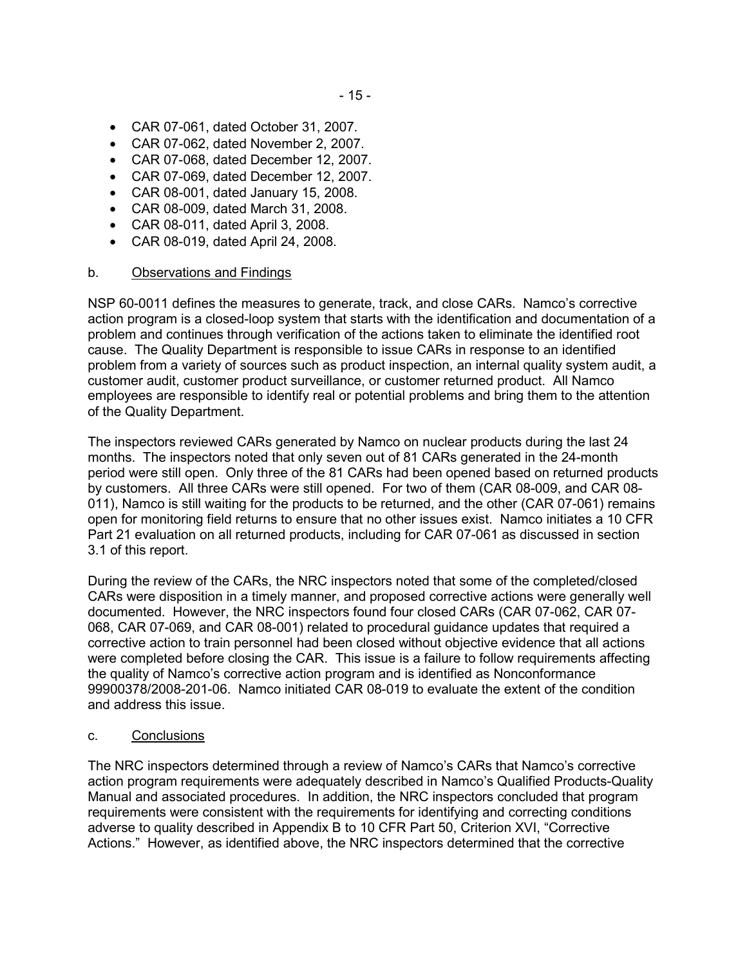- CAR 07-061, dated October 31, 2007.
- CAR 07-062, dated November 2, 2007.
- CAR 07-068, dated December 12, 2007.
- CAR 07-069, dated December 12, 2007.
- CAR 08-001, dated January 15, 2008.
- CAR 08-009, dated March 31, 2008.
- CAR 08-011, dated April 3, 2008.
- CAR 08-019, dated April 24, 2008.

#### b. Observations and Findings

NSP 60-0011 defines the measures to generate, track, and close CARs. Namco's corrective action program is a closed-loop system that starts with the identification and documentation of a problem and continues through verification of the actions taken to eliminate the identified root cause. The Quality Department is responsible to issue CARs in response to an identified problem from a variety of sources such as product inspection, an internal quality system audit, a customer audit, customer product surveillance, or customer returned product. All Namco employees are responsible to identify real or potential problems and bring them to the attention of the Quality Department.

The inspectors reviewed CARs generated by Namco on nuclear products during the last 24 months. The inspectors noted that only seven out of 81 CARs generated in the 24-month period were still open. Only three of the 81 CARs had been opened based on returned products by customers. All three CARs were still opened. For two of them (CAR 08-009, and CAR 08- 011), Namco is still waiting for the products to be returned, and the other (CAR 07-061) remains open for monitoring field returns to ensure that no other issues exist. Namco initiates a 10 CFR Part 21 evaluation on all returned products, including for CAR 07-061 as discussed in section 3.1 of this report.

During the review of the CARs, the NRC inspectors noted that some of the completed/closed CARs were disposition in a timely manner, and proposed corrective actions were generally well documented. However, the NRC inspectors found four closed CARs (CAR 07-062, CAR 07- 068, CAR 07-069, and CAR 08-001) related to procedural guidance updates that required a corrective action to train personnel had been closed without objective evidence that all actions were completed before closing the CAR. This issue is a failure to follow requirements affecting the quality of Namco's corrective action program and is identified as Nonconformance 99900378/2008-201-06. Namco initiated CAR 08-019 to evaluate the extent of the condition and address this issue.

#### c. Conclusions

The NRC inspectors determined through a review of Namco's CARs that Namco's corrective action program requirements were adequately described in Namco's Qualified Products-Quality Manual and associated procedures. In addition, the NRC inspectors concluded that program requirements were consistent with the requirements for identifying and correcting conditions adverse to quality described in Appendix B to 10 CFR Part 50, Criterion XVI, "Corrective Actions." However, as identified above, the NRC inspectors determined that the corrective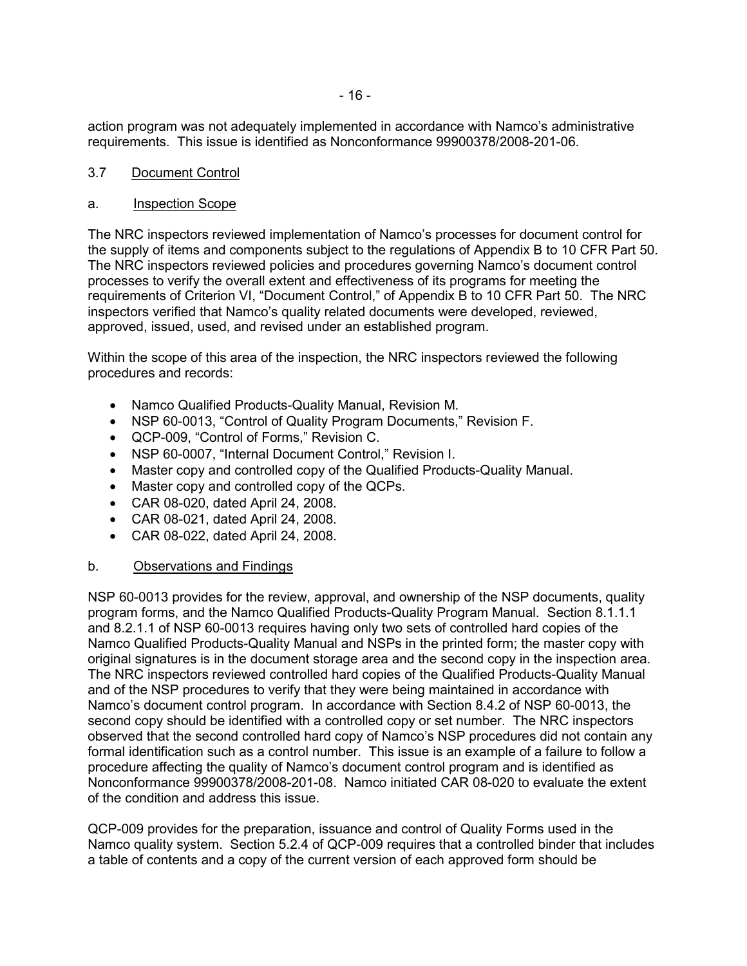action program was not adequately implemented in accordance with Namco's administrative requirements. This issue is identified as Nonconformance 99900378/2008-201-06.

### 3.7 Document Control

#### a. Inspection Scope

The NRC inspectors reviewed implementation of Namco's processes for document control for the supply of items and components subject to the regulations of Appendix B to 10 CFR Part 50. The NRC inspectors reviewed policies and procedures governing Namco's document control processes to verify the overall extent and effectiveness of its programs for meeting the requirements of Criterion VI, "Document Control," of Appendix B to 10 CFR Part 50. The NRC inspectors verified that Namco's quality related documents were developed, reviewed, approved, issued, used, and revised under an established program.

Within the scope of this area of the inspection, the NRC inspectors reviewed the following procedures and records:

- Namco Qualified Products-Quality Manual, Revision M.
- NSP 60-0013, "Control of Quality Program Documents," Revision F.
- QCP-009, "Control of Forms," Revision C.
- NSP 60-0007, "Internal Document Control," Revision I.
- Master copy and controlled copy of the Qualified Products-Quality Manual.
- Master copy and controlled copy of the QCPs.
- CAR 08-020, dated April 24, 2008.
- CAR 08-021, dated April 24, 2008.
- CAR 08-022, dated April 24, 2008.

# b. Observations and Findings

NSP 60-0013 provides for the review, approval, and ownership of the NSP documents, quality program forms, and the Namco Qualified Products-Quality Program Manual. Section 8.1.1.1 and 8.2.1.1 of NSP 60-0013 requires having only two sets of controlled hard copies of the Namco Qualified Products-Quality Manual and NSPs in the printed form; the master copy with original signatures is in the document storage area and the second copy in the inspection area. The NRC inspectors reviewed controlled hard copies of the Qualified Products-Quality Manual and of the NSP procedures to verify that they were being maintained in accordance with Namco's document control program. In accordance with Section 8.4.2 of NSP 60-0013, the second copy should be identified with a controlled copy or set number. The NRC inspectors observed that the second controlled hard copy of Namco's NSP procedures did not contain any formal identification such as a control number. This issue is an example of a failure to follow a procedure affecting the quality of Namco's document control program and is identified as Nonconformance 99900378/2008-201-08. Namco initiated CAR 08-020 to evaluate the extent of the condition and address this issue.

QCP-009 provides for the preparation, issuance and control of Quality Forms used in the Namco quality system. Section 5.2.4 of QCP-009 requires that a controlled binder that includes a table of contents and a copy of the current version of each approved form should be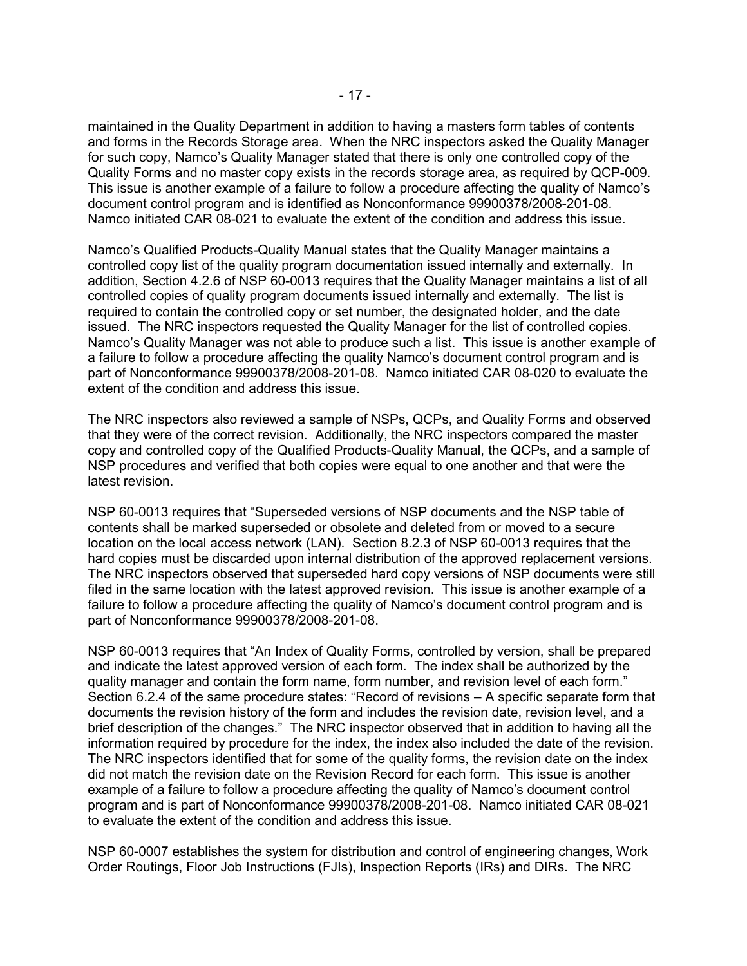maintained in the Quality Department in addition to having a masters form tables of contents and forms in the Records Storage area. When the NRC inspectors asked the Quality Manager for such copy, Namco's Quality Manager stated that there is only one controlled copy of the Quality Forms and no master copy exists in the records storage area, as required by QCP-009. This issue is another example of a failure to follow a procedure affecting the quality of Namco's document control program and is identified as Nonconformance 99900378/2008-201-08. Namco initiated CAR 08-021 to evaluate the extent of the condition and address this issue.

Namco's Qualified Products-Quality Manual states that the Quality Manager maintains a controlled copy list of the quality program documentation issued internally and externally. In addition, Section 4.2.6 of NSP 60-0013 requires that the Quality Manager maintains a list of all controlled copies of quality program documents issued internally and externally. The list is required to contain the controlled copy or set number, the designated holder, and the date issued. The NRC inspectors requested the Quality Manager for the list of controlled copies. Namco's Quality Manager was not able to produce such a list. This issue is another example of a failure to follow a procedure affecting the quality Namco's document control program and is part of Nonconformance 99900378/2008-201-08. Namco initiated CAR 08-020 to evaluate the extent of the condition and address this issue.

The NRC inspectors also reviewed a sample of NSPs, QCPs, and Quality Forms and observed that they were of the correct revision. Additionally, the NRC inspectors compared the master copy and controlled copy of the Qualified Products-Quality Manual, the QCPs, and a sample of NSP procedures and verified that both copies were equal to one another and that were the latest revision.

NSP 60-0013 requires that "Superseded versions of NSP documents and the NSP table of contents shall be marked superseded or obsolete and deleted from or moved to a secure location on the local access network (LAN). Section 8.2.3 of NSP 60-0013 requires that the hard copies must be discarded upon internal distribution of the approved replacement versions. The NRC inspectors observed that superseded hard copy versions of NSP documents were still filed in the same location with the latest approved revision. This issue is another example of a failure to follow a procedure affecting the quality of Namco's document control program and is part of Nonconformance 99900378/2008-201-08.

NSP 60-0013 requires that "An Index of Quality Forms, controlled by version, shall be prepared and indicate the latest approved version of each form. The index shall be authorized by the quality manager and contain the form name, form number, and revision level of each form." Section 6.2.4 of the same procedure states: "Record of revisions – A specific separate form that documents the revision history of the form and includes the revision date, revision level, and a brief description of the changes." The NRC inspector observed that in addition to having all the information required by procedure for the index, the index also included the date of the revision. The NRC inspectors identified that for some of the quality forms, the revision date on the index did not match the revision date on the Revision Record for each form. This issue is another example of a failure to follow a procedure affecting the quality of Namco's document control program and is part of Nonconformance 99900378/2008-201-08. Namco initiated CAR 08-021 to evaluate the extent of the condition and address this issue.

NSP 60-0007 establishes the system for distribution and control of engineering changes, Work Order Routings, Floor Job Instructions (FJIs), Inspection Reports (IRs) and DIRs. The NRC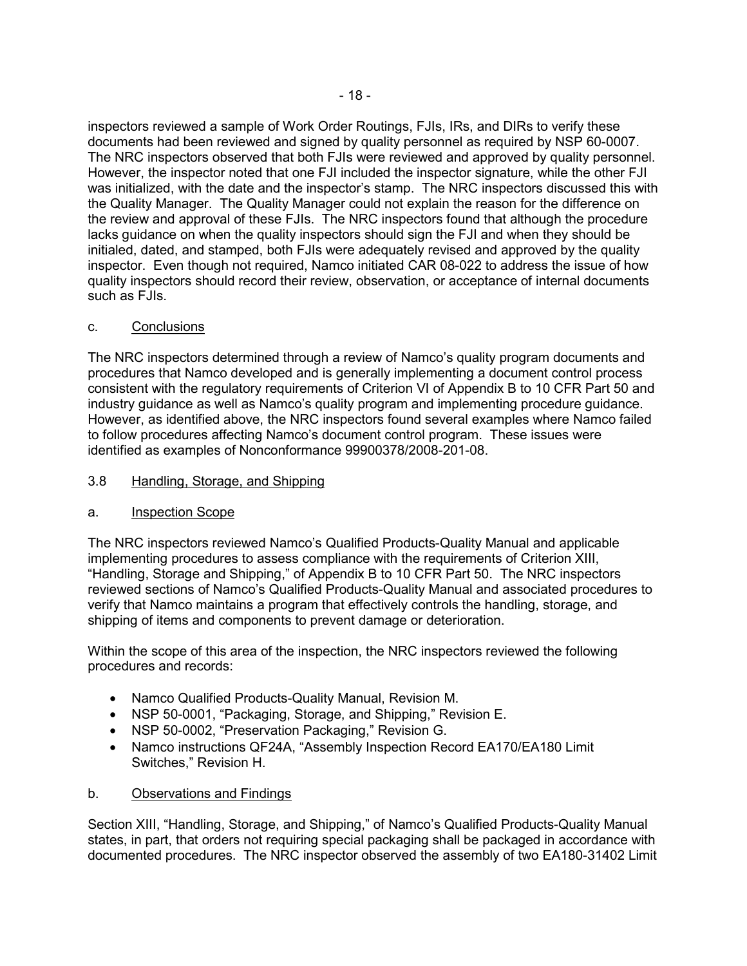inspectors reviewed a sample of Work Order Routings, FJIs, IRs, and DIRs to verify these documents had been reviewed and signed by quality personnel as required by NSP 60-0007. The NRC inspectors observed that both FJIs were reviewed and approved by quality personnel. However, the inspector noted that one FJI included the inspector signature, while the other FJI was initialized, with the date and the inspector's stamp. The NRC inspectors discussed this with the Quality Manager. The Quality Manager could not explain the reason for the difference on the review and approval of these FJIs. The NRC inspectors found that although the procedure lacks guidance on when the quality inspectors should sign the FJI and when they should be initialed, dated, and stamped, both FJIs were adequately revised and approved by the quality inspector. Even though not required, Namco initiated CAR 08-022 to address the issue of how quality inspectors should record their review, observation, or acceptance of internal documents such as FJIs.

# c. Conclusions

The NRC inspectors determined through a review of Namco's quality program documents and procedures that Namco developed and is generally implementing a document control process consistent with the regulatory requirements of Criterion VI of Appendix B to 10 CFR Part 50 and industry guidance as well as Namco's quality program and implementing procedure guidance. However, as identified above, the NRC inspectors found several examples where Namco failed to follow procedures affecting Namco's document control program. These issues were identified as examples of Nonconformance 99900378/2008-201-08.

# 3.8 Handling, Storage, and Shipping

# a. Inspection Scope

The NRC inspectors reviewed Namco's Qualified Products-Quality Manual and applicable implementing procedures to assess compliance with the requirements of Criterion XIII, "Handling, Storage and Shipping," of Appendix B to 10 CFR Part 50. The NRC inspectors reviewed sections of Namco's Qualified Products-Quality Manual and associated procedures to verify that Namco maintains a program that effectively controls the handling, storage, and shipping of items and components to prevent damage or deterioration.

Within the scope of this area of the inspection, the NRC inspectors reviewed the following procedures and records:

- Namco Qualified Products-Quality Manual, Revision M.
- NSP 50-0001, "Packaging, Storage, and Shipping," Revision E.
- NSP 50-0002, "Preservation Packaging," Revision G.
- Namco instructions QF24A, "Assembly Inspection Record EA170/EA180 Limit Switches," Revision H.

# b. Observations and Findings

Section XIII, "Handling, Storage, and Shipping," of Namco's Qualified Products-Quality Manual states, in part, that orders not requiring special packaging shall be packaged in accordance with documented procedures. The NRC inspector observed the assembly of two EA180-31402 Limit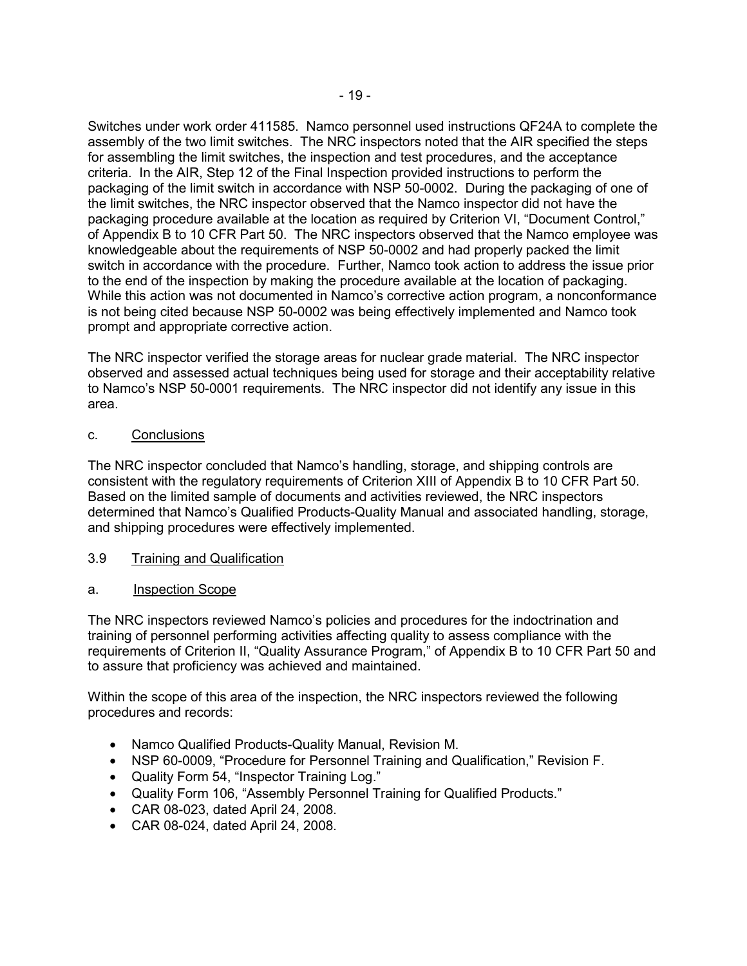Switches under work order 411585. Namco personnel used instructions QF24A to complete the assembly of the two limit switches. The NRC inspectors noted that the AIR specified the steps for assembling the limit switches, the inspection and test procedures, and the acceptance criteria. In the AIR, Step 12 of the Final Inspection provided instructions to perform the packaging of the limit switch in accordance with NSP 50-0002. During the packaging of one of the limit switches, the NRC inspector observed that the Namco inspector did not have the packaging procedure available at the location as required by Criterion VI, "Document Control," of Appendix B to 10 CFR Part 50. The NRC inspectors observed that the Namco employee was knowledgeable about the requirements of NSP 50-0002 and had properly packed the limit switch in accordance with the procedure. Further, Namco took action to address the issue prior to the end of the inspection by making the procedure available at the location of packaging. While this action was not documented in Namco's corrective action program, a nonconformance is not being cited because NSP 50-0002 was being effectively implemented and Namco took prompt and appropriate corrective action.

The NRC inspector verified the storage areas for nuclear grade material. The NRC inspector observed and assessed actual techniques being used for storage and their acceptability relative to Namco's NSP 50-0001 requirements. The NRC inspector did not identify any issue in this area.

# c. Conclusions

The NRC inspector concluded that Namco's handling, storage, and shipping controls are consistent with the regulatory requirements of Criterion XIII of Appendix B to 10 CFR Part 50. Based on the limited sample of documents and activities reviewed, the NRC inspectors determined that Namco's Qualified Products-Quality Manual and associated handling, storage, and shipping procedures were effectively implemented.

# 3.9 Training and Qualification

# a. Inspection Scope

The NRC inspectors reviewed Namco's policies and procedures for the indoctrination and training of personnel performing activities affecting quality to assess compliance with the requirements of Criterion II, "Quality Assurance Program," of Appendix B to 10 CFR Part 50 and to assure that proficiency was achieved and maintained.

Within the scope of this area of the inspection, the NRC inspectors reviewed the following procedures and records:

- Namco Qualified Products-Quality Manual, Revision M.
- NSP 60-0009, "Procedure for Personnel Training and Qualification," Revision F.
- Quality Form 54, "Inspector Training Log."
- Quality Form 106, "Assembly Personnel Training for Qualified Products."
- CAR 08-023, dated April 24, 2008.
- CAR 08-024, dated April 24, 2008.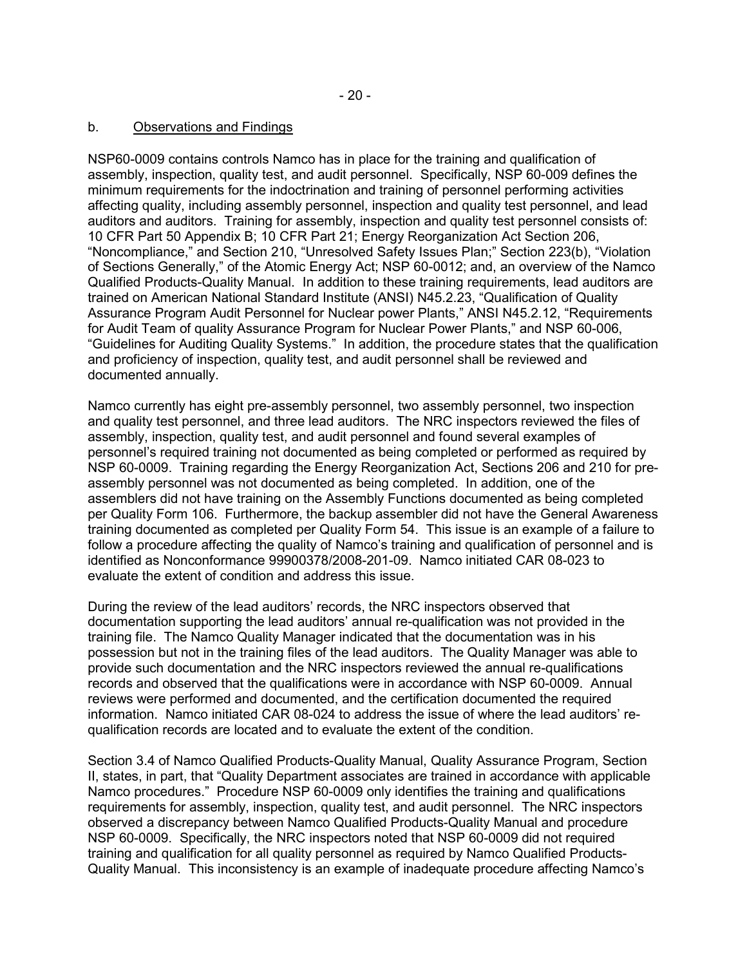#### b. Observations and Findings

NSP60-0009 contains controls Namco has in place for the training and qualification of assembly, inspection, quality test, and audit personnel. Specifically, NSP 60-009 defines the minimum requirements for the indoctrination and training of personnel performing activities affecting quality, including assembly personnel, inspection and quality test personnel, and lead auditors and auditors. Training for assembly, inspection and quality test personnel consists of: 10 CFR Part 50 Appendix B; 10 CFR Part 21; Energy Reorganization Act Section 206, "Noncompliance," and Section 210, "Unresolved Safety Issues Plan;" Section 223(b), "Violation of Sections Generally," of the Atomic Energy Act; NSP 60-0012; and, an overview of the Namco Qualified Products-Quality Manual. In addition to these training requirements, lead auditors are trained on American National Standard Institute (ANSI) N45.2.23, "Qualification of Quality Assurance Program Audit Personnel for Nuclear power Plants," ANSI N45.2.12, "Requirements for Audit Team of quality Assurance Program for Nuclear Power Plants," and NSP 60-006, "Guidelines for Auditing Quality Systems." In addition, the procedure states that the qualification and proficiency of inspection, quality test, and audit personnel shall be reviewed and documented annually.

Namco currently has eight pre-assembly personnel, two assembly personnel, two inspection and quality test personnel, and three lead auditors. The NRC inspectors reviewed the files of assembly, inspection, quality test, and audit personnel and found several examples of personnel's required training not documented as being completed or performed as required by NSP 60-0009. Training regarding the Energy Reorganization Act, Sections 206 and 210 for preassembly personnel was not documented as being completed. In addition, one of the assemblers did not have training on the Assembly Functions documented as being completed per Quality Form 106. Furthermore, the backup assembler did not have the General Awareness training documented as completed per Quality Form 54. This issue is an example of a failure to follow a procedure affecting the quality of Namco's training and qualification of personnel and is identified as Nonconformance 99900378/2008-201-09. Namco initiated CAR 08-023 to evaluate the extent of condition and address this issue.

During the review of the lead auditors' records, the NRC inspectors observed that documentation supporting the lead auditors' annual re-qualification was not provided in the training file. The Namco Quality Manager indicated that the documentation was in his possession but not in the training files of the lead auditors. The Quality Manager was able to provide such documentation and the NRC inspectors reviewed the annual re-qualifications records and observed that the qualifications were in accordance with NSP 60-0009. Annual reviews were performed and documented, and the certification documented the required information. Namco initiated CAR 08-024 to address the issue of where the lead auditors' requalification records are located and to evaluate the extent of the condition.

Section 3.4 of Namco Qualified Products-Quality Manual, Quality Assurance Program, Section II, states, in part, that "Quality Department associates are trained in accordance with applicable Namco procedures." Procedure NSP 60-0009 only identifies the training and qualifications requirements for assembly, inspection, quality test, and audit personnel. The NRC inspectors observed a discrepancy between Namco Qualified Products-Quality Manual and procedure NSP 60-0009. Specifically, the NRC inspectors noted that NSP 60-0009 did not required training and qualification for all quality personnel as required by Namco Qualified Products-Quality Manual. This inconsistency is an example of inadequate procedure affecting Namco's